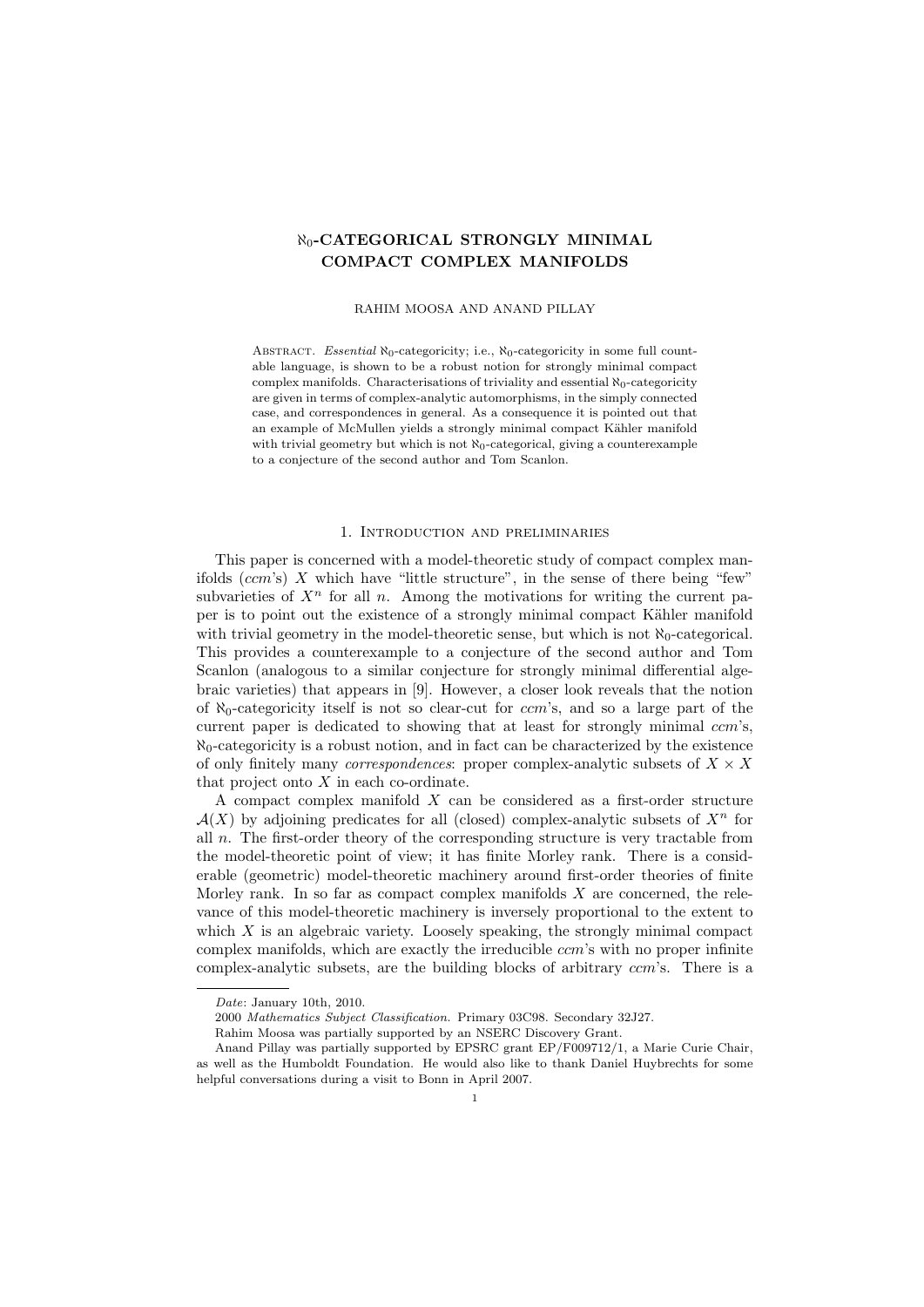# $\aleph_0$ -CATEGORICAL STRONGLY MINIMAL COMPACT COMPLEX MANIFOLDS

#### RAHIM MOOSA AND ANAND PILLAY

ABSTRACT. Essential  $\aleph_0$ -categoricity; i.e.,  $\aleph_0$ -categoricity in some full countable language, is shown to be a robust notion for strongly minimal compact complex manifolds. Characterisations of triviality and essential  $\aleph_0$ -categoricity are given in terms of complex-analytic automorphisms, in the simply connected case, and correspondences in general. As a consequence it is pointed out that an example of McMullen yields a strongly minimal compact Kähler manifold with trivial geometry but which is not  $\aleph_0$ -categorical, giving a counterexample to a conjecture of the second author and Tom Scanlon.

#### 1. Introduction and preliminaries

This paper is concerned with a model-theoretic study of compact complex manifolds  $(ccm's)$  X which have "little structure", in the sense of there being "few" subvarieties of  $X<sup>n</sup>$  for all n. Among the motivations for writing the current paper is to point out the existence of a strongly minimal compact Kähler manifold with trivial geometry in the model-theoretic sense, but which is not  $\aleph_0$ -categorical. This provides a counterexample to a conjecture of the second author and Tom Scanlon (analogous to a similar conjecture for strongly minimal differential algebraic varieties) that appears in [9]. However, a closer look reveals that the notion of  $\aleph_0$ -categoricity itself is not so clear-cut for *ccm*'s, and so a large part of the current paper is dedicated to showing that at least for strongly minimal  $ccm$ 's,  $\aleph_0$ -categoricity is a robust notion, and in fact can be characterized by the existence of only finitely many *correspondences*: proper complex-analytic subsets of  $X \times X$ that project onto  $X$  in each co-ordinate.

A compact complex manifold  $X$  can be considered as a first-order structure  $\mathcal{A}(X)$  by adjoining predicates for all (closed) complex-analytic subsets of  $X^n$  for all  $n$ . The first-order theory of the corresponding structure is very tractable from the model-theoretic point of view; it has finite Morley rank. There is a considerable (geometric) model-theoretic machinery around first-order theories of finite Morley rank. In so far as compact complex manifolds  $X$  are concerned, the relevance of this model-theoretic machinery is inversely proportional to the extent to which  $X$  is an algebraic variety. Loosely speaking, the strongly minimal compact complex manifolds, which are exactly the irreducible *ccm*'s with no proper infinite complex-analytic subsets, are the building blocks of arbitrary ccm's. There is a

Date: January 10th, 2010.

<sup>2000</sup> Mathematics Subject Classification. Primary 03C98. Secondary 32J27.

Rahim Moosa was partially supported by an NSERC Discovery Grant.

Anand Pillay was partially supported by EPSRC grant EP/F009712/1, a Marie Curie Chair, as well as the Humboldt Foundation. He would also like to thank Daniel Huybrechts for some helpful conversations during a visit to Bonn in April 2007.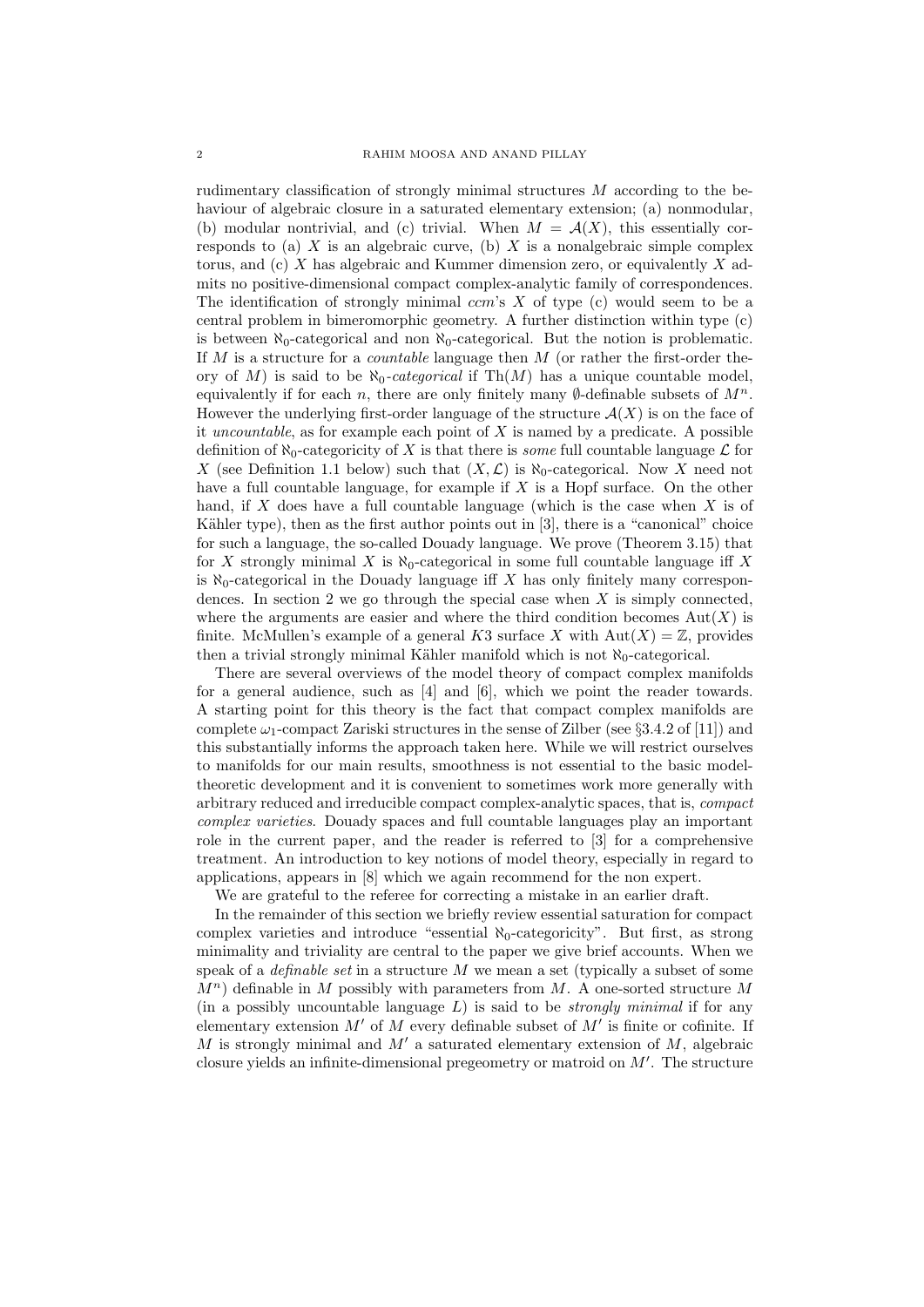rudimentary classification of strongly minimal structures M according to the behaviour of algebraic closure in a saturated elementary extension; (a) nonmodular, (b) modular nontrivial, and (c) trivial. When  $M = \mathcal{A}(X)$ , this essentially corresponds to (a)  $X$  is an algebraic curve, (b)  $X$  is a nonalgebraic simple complex torus, and  $(c)$  X has algebraic and Kummer dimension zero, or equivalently X admits no positive-dimensional compact complex-analytic family of correspondences. The identification of strongly minimal  $ccm$ 's X of type (c) would seem to be a central problem in bimeromorphic geometry. A further distinction within type (c) is between  $\aleph_0$ -categorical and non  $\aleph_0$ -categorical. But the notion is problematic. If  $M$  is a structure for a *countable* language then  $M$  (or rather the first-order theory of M) is said to be  $\aleph_0$ -categorical if Th $(M)$  has a unique countable model, equivalently if for each n, there are only finitely many  $\emptyset$ -definable subsets of  $M^n$ . However the underlying first-order language of the structure  $\mathcal{A}(X)$  is on the face of it uncountable, as for example each point of  $X$  is named by a predicate. A possible definition of  $\aleph_0$ -categoricity of X is that there is some full countable language  $\mathcal L$  for X (see Definition 1.1 below) such that  $(X, \mathcal{L})$  is  $\aleph_0$ -categorical. Now X need not have a full countable language, for example if  $X$  is a Hopf surface. On the other hand, if  $X$  does have a full countable language (which is the case when  $X$  is of Kähler type), then as the first author points out in  $[3]$ , there is a "canonical" choice for such a language, the so-called Douady language. We prove (Theorem 3.15) that for X strongly minimal X is  $\aleph_0$ -categorical in some full countable language iff X is  $\aleph_0$ -categorical in the Douady language iff X has only finitely many correspondences. In section 2 we go through the special case when  $X$  is simply connected, where the arguments are easier and where the third condition becomes  $Aut(X)$  is finite. McMullen's example of a general K3 surface X with  $Aut(X) = \mathbb{Z}$ , provides then a trivial strongly minimal Kähler manifold which is not  $\aleph_0$ -categorical.

There are several overviews of the model theory of compact complex manifolds for a general audience, such as [4] and [6], which we point the reader towards. A starting point for this theory is the fact that compact complex manifolds are complete  $\omega_1$ -compact Zariski structures in the sense of Zilber (see §3.4.2 of [11]) and this substantially informs the approach taken here. While we will restrict ourselves to manifolds for our main results, smoothness is not essential to the basic modeltheoretic development and it is convenient to sometimes work more generally with arbitrary reduced and irreducible compact complex-analytic spaces, that is, compact complex varieties. Douady spaces and full countable languages play an important role in the current paper, and the reader is referred to [3] for a comprehensive treatment. An introduction to key notions of model theory, especially in regard to applications, appears in [8] which we again recommend for the non expert.

We are grateful to the referee for correcting a mistake in an earlier draft.

In the remainder of this section we briefly review essential saturation for compact complex varieties and introduce "essential  $\aleph_0$ -categoricity". But first, as strong minimality and triviality are central to the paper we give brief accounts. When we speak of a *definable set* in a structure  $M$  we mean a set (typically a subset of some  $M^n$ ) definable in M possibly with parameters from M. A one-sorted structure M (in a possibly uncountable language  $L$ ) is said to be *strongly minimal* if for any elementary extension  $M'$  of  $M$  every definable subset of  $M'$  is finite or cofinite. If M is strongly minimal and  $M'$  a saturated elementary extension of  $M$ , algebraic closure yields an infinite-dimensional pregeometry or matroid on  $M'$ . The structure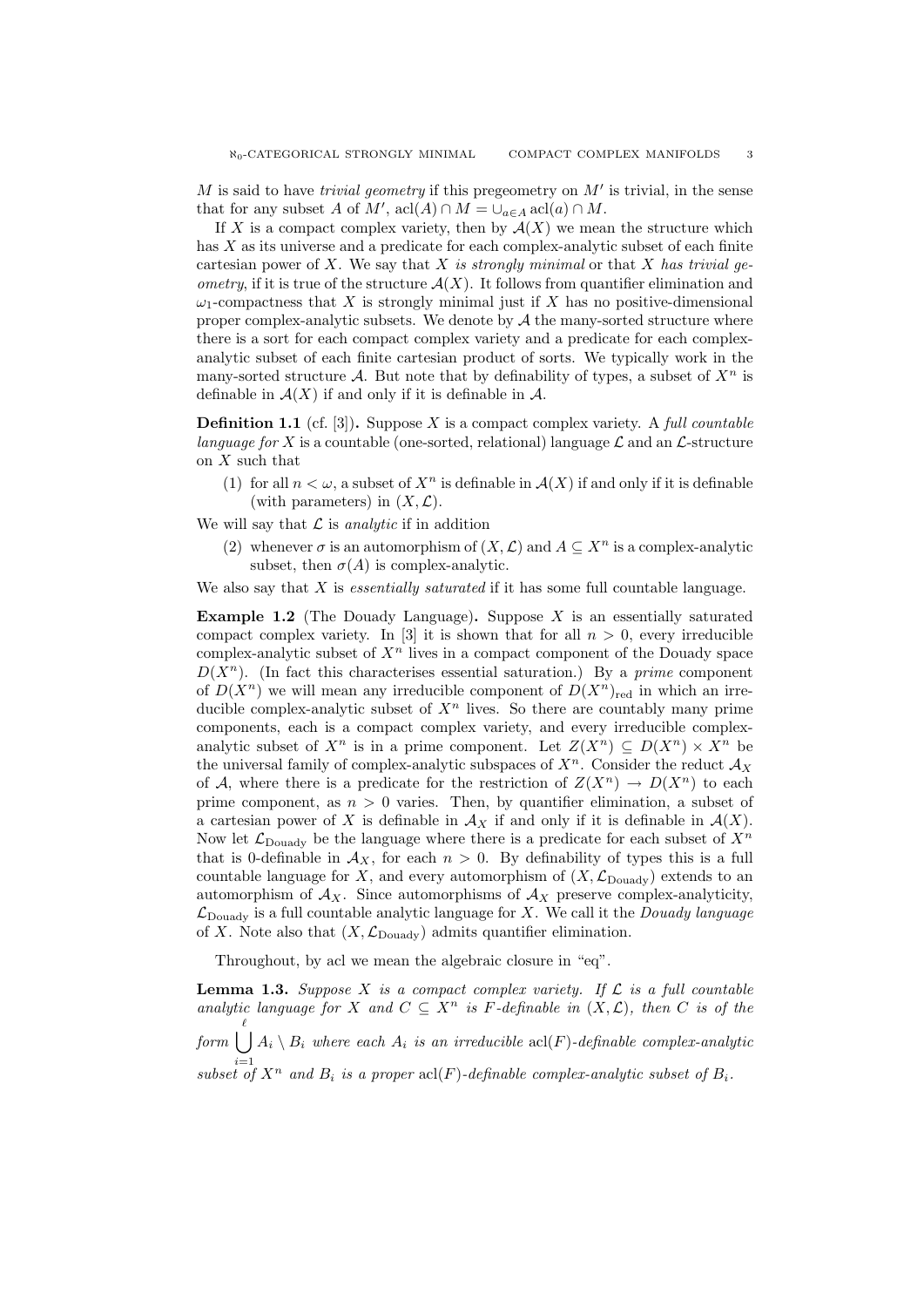$M$  is said to have *trivial geometry* if this pregeometry on  $M'$  is trivial, in the sense that for any subset A of  $M'$ , acl $(A) \cap M = \bigcup_{a \in A} \text{acl}(a) \cap M$ .

If X is a compact complex variety, then by  $\mathcal{A}(X)$  we mean the structure which has  $X$  as its universe and a predicate for each complex-analytic subset of each finite cartesian power of X. We say that X is strongly minimal or that X has trivial ge*ometry*, if it is true of the structure  $\mathcal{A}(X)$ . It follows from quantifier elimination and  $\omega_1$ -compactness that X is strongly minimal just if X has no positive-dimensional proper complex-analytic subsets. We denote by  $A$  the many-sorted structure where there is a sort for each compact complex variety and a predicate for each complexanalytic subset of each finite cartesian product of sorts. We typically work in the many-sorted structure A. But note that by definability of types, a subset of  $X^n$  is definable in  $\mathcal{A}(X)$  if and only if it is definable in  $\mathcal{A}$ .

**Definition 1.1** (cf. [3]). Suppose X is a compact complex variety. A full countable language for X is a countable (one-sorted, relational) language  $\mathcal L$  and an  $\mathcal L$ -structure on X such that

(1) for all  $n < \omega$ , a subset of  $X^n$  is definable in  $\mathcal{A}(X)$  if and only if it is definable (with parameters) in  $(X, \mathcal{L})$ .

We will say that  $\mathcal L$  is analytic if in addition

(2) whenever  $\sigma$  is an automorphism of  $(X, \mathcal{L})$  and  $A \subseteq X^n$  is a complex-analytic subset, then  $\sigma(A)$  is complex-analytic.

We also say that  $X$  is *essentially saturated* if it has some full countable language.

**Example 1.2** (The Douady Language). Suppose X is an essentially saturated compact complex variety. In [3] it is shown that for all  $n > 0$ , every irreducible complex-analytic subset of  $X<sup>n</sup>$  lives in a compact component of the Douady space  $D(X^n)$ . (In fact this characterises essential saturation.) By a *prime* component of  $D(X^n)$  we will mean any irreducible component of  $D(X^n)_{\text{red}}$  in which an irreducible complex-analytic subset of  $X<sup>n</sup>$  lives. So there are countably many prime components, each is a compact complex variety, and every irreducible complexanalytic subset of  $X^n$  is in a prime component. Let  $Z(X^n) \subseteq D(X^n) \times X^n$  be the universal family of complex-analytic subspaces of  $X<sup>n</sup>$ . Consider the reduct  $\mathcal{A}_X$ of A, where there is a predicate for the restriction of  $Z(X^n) \to D(X^n)$  to each prime component, as  $n > 0$  varies. Then, by quantifier elimination, a subset of a cartesian power of X is definable in  $\mathcal{A}_X$  if and only if it is definable in  $\mathcal{A}(X)$ . Now let  $\mathcal{L}_{\text{Douadv}}$  be the language where there is a predicate for each subset of  $X^n$ that is 0-definable in  $\mathcal{A}_X$ , for each  $n > 0$ . By definability of types this is a full countable language for X, and every automorphism of  $(X, \mathcal{L}_{\text{Douadv}})$  extends to an automorphism of  $A_X$ . Since automorphisms of  $A_X$  preserve complex-analyticity,  $\mathcal{L}_{\text{Douadv}}$  is a full countable analytic language for X. We call it the *Douady language* of X. Note also that  $(X, \mathcal{L}_{\text{Douadv}})$  admits quantifier elimination.

Throughout, by acl we mean the algebraic closure in "eq".

**Lemma 1.3.** Suppose X is a compact complex variety. If  $\mathcal{L}$  is a full countable analytic language for X and  $C \subseteq X^n$  is F-definable in  $(X, \mathcal{L})$ , then C is of the  $_{form}$   $(\dot{\phantom{a}})$ subset of  $X^n$  and  $B_i$  is a proper  $\operatorname{acl}(F)$ -definable complex-analytic subset of  $B_i$ .  $A_i \setminus B_i$  where each  $A_i$  is an irreducible acl(F)-definable complex-analytic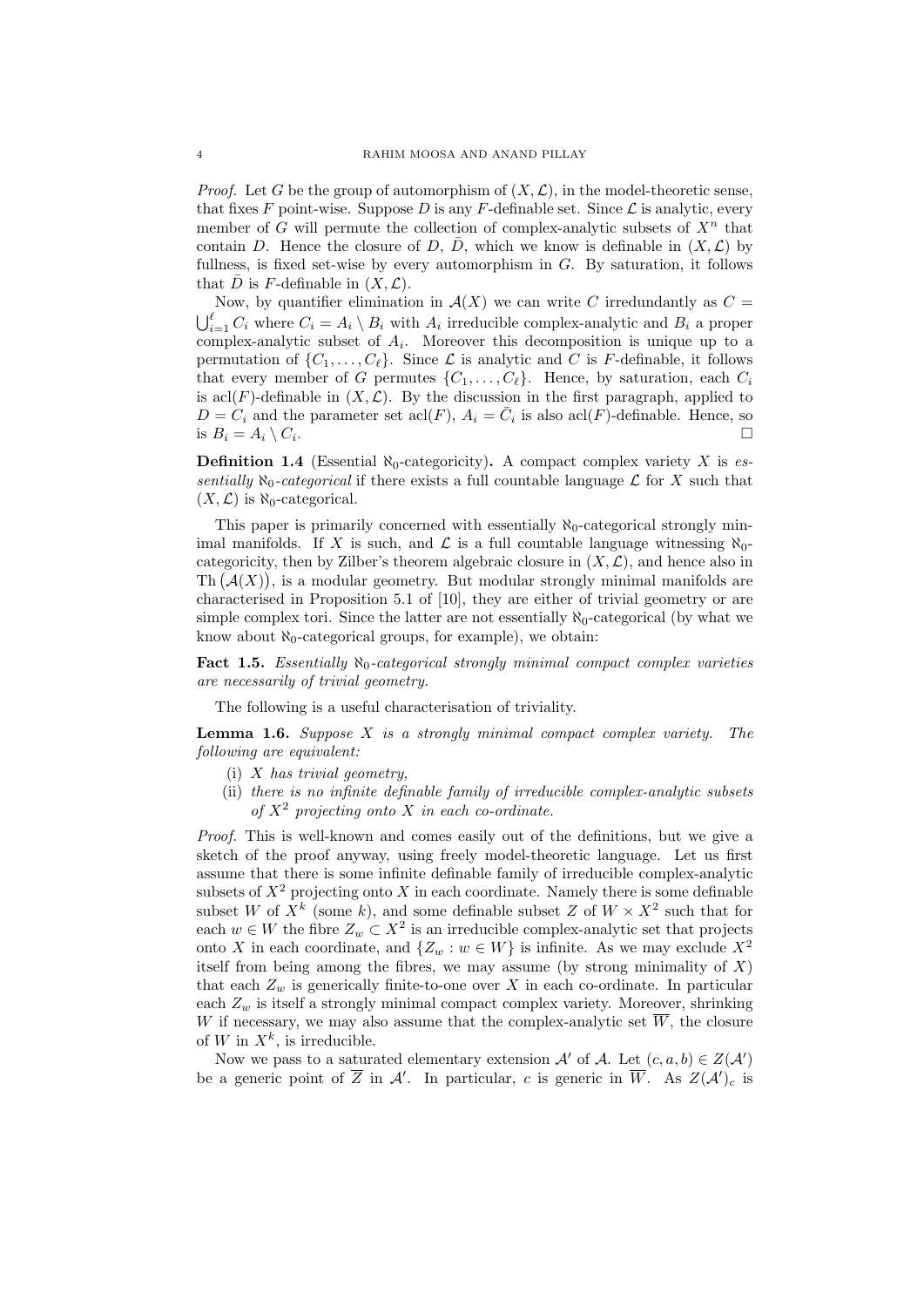*Proof.* Let G be the group of automorphism of  $(X, \mathcal{L})$ , in the model-theoretic sense, that fixes F point-wise. Suppose D is any F-definable set. Since  $\mathcal L$  is analytic, every member of G will permute the collection of complex-analytic subsets of  $X<sup>n</sup>$  that contain D. Hence the closure of D,  $\bar{D}$ , which we know is definable in  $(X, \mathcal{L})$  by fullness, is fixed set-wise by every automorphism in  $G$ . By saturation, it follows that  $\bar{D}$  is F-definable in  $(X, \mathcal{L})$ .

Now, by quantifier elimination in  $\mathcal{A}(X)$  we can write C irredundantly as  $C =$  $\bigcup_{i=1}^{\ell} C_i$  where  $C_i = A_i \setminus B_i$  with  $A_i$  irreducible complex-analytic and  $B_i$  a proper complex-analytic subset of  $A_i$ . Moreover this decomposition is unique up to a permutation of  $\{C_1, \ldots, C_{\ell}\}\$ . Since  $\mathcal L$  is analytic and C is F-definable, it follows that every member of G permutes  $\{C_1, \ldots, C_\ell\}$ . Hence, by saturation, each  $C_i$ is acl(F)-definable in  $(X, \mathcal{L})$ . By the discussion in the first paragraph, applied to  $D = C_i$  and the parameter set  $\text{acl}(F)$ ,  $A_i = \overline{C}_i$  is also  $\text{acl}(F)$ -definable. Hence, so is  $B_i = A_i \setminus C_i$ . .

**Definition 1.4** (Essential  $\aleph_0$ -categoricity). A compact complex variety X is essentially  $\aleph_0$ -categorical if there exists a full countable language  $\mathcal L$  for X such that  $(X, \mathcal{L})$  is  $\aleph_0$ -categorical.

This paper is primarily concerned with essentially  $\aleph_0$ -categorical strongly minimal manifolds. If X is such, and  $\mathcal L$  is a full countable language witnessing  $\aleph_0$ categoricity, then by Zilber's theorem algebraic closure in  $(X, \mathcal{L})$ , and hence also in Th  $(A(X))$ , is a modular geometry. But modular strongly minimal manifolds are characterised in Proposition 5.1 of [10], they are either of trivial geometry or are simple complex tori. Since the latter are not essentially  $\aleph_0$ -categorical (by what we know about  $\aleph_0$ -categorical groups, for example), we obtain:

**Fact 1.5.** Essentially  $\aleph_0$ -categorical strongly minimal compact complex varieties are necessarily of trivial geometry.

The following is a useful characterisation of triviality.

**Lemma 1.6.** Suppose  $X$  is a strongly minimal compact complex variety. The following are equivalent:

- (i)  $X$  has trivial geometry,
- (ii) there is no infinite definable family of irreducible complex-analytic subsets of  $X<sup>2</sup>$  projecting onto X in each co-ordinate.

Proof. This is well-known and comes easily out of the definitions, but we give a sketch of the proof anyway, using freely model-theoretic language. Let us first assume that there is some infinite definable family of irreducible complex-analytic subsets of  $X^2$  projecting onto X in each coordinate. Namely there is some definable subset W of  $X^k$  (some k), and some definable subset Z of  $W \times X^2$  such that for each  $w \in W$  the fibre  $Z_w \subset X^2$  is an irreducible complex-analytic set that projects onto X in each coordinate, and  $\{Z_w : w \in W\}$  is infinite. As we may exclude  $X^2$ itself from being among the fibres, we may assume (by strong minimality of  $X$ ) that each  $Z_w$  is generically finite-to-one over X in each co-ordinate. In particular each  $Z_w$  is itself a strongly minimal compact complex variety. Moreover, shrinking W if necessary, we may also assume that the complex-analytic set  $\overline{W}$ , the closure of W in  $X^k$ , is irreducible.

Now we pass to a saturated elementary extension  $\mathcal{A}'$  of  $\mathcal{A}$ . Let  $(c, a, b) \in Z(\mathcal{A}')$ be a generic point of  $\overline{Z}$  in A'. In particular, c is generic in  $\overline{W}$ . As  $Z(\mathcal{A}')_c$  is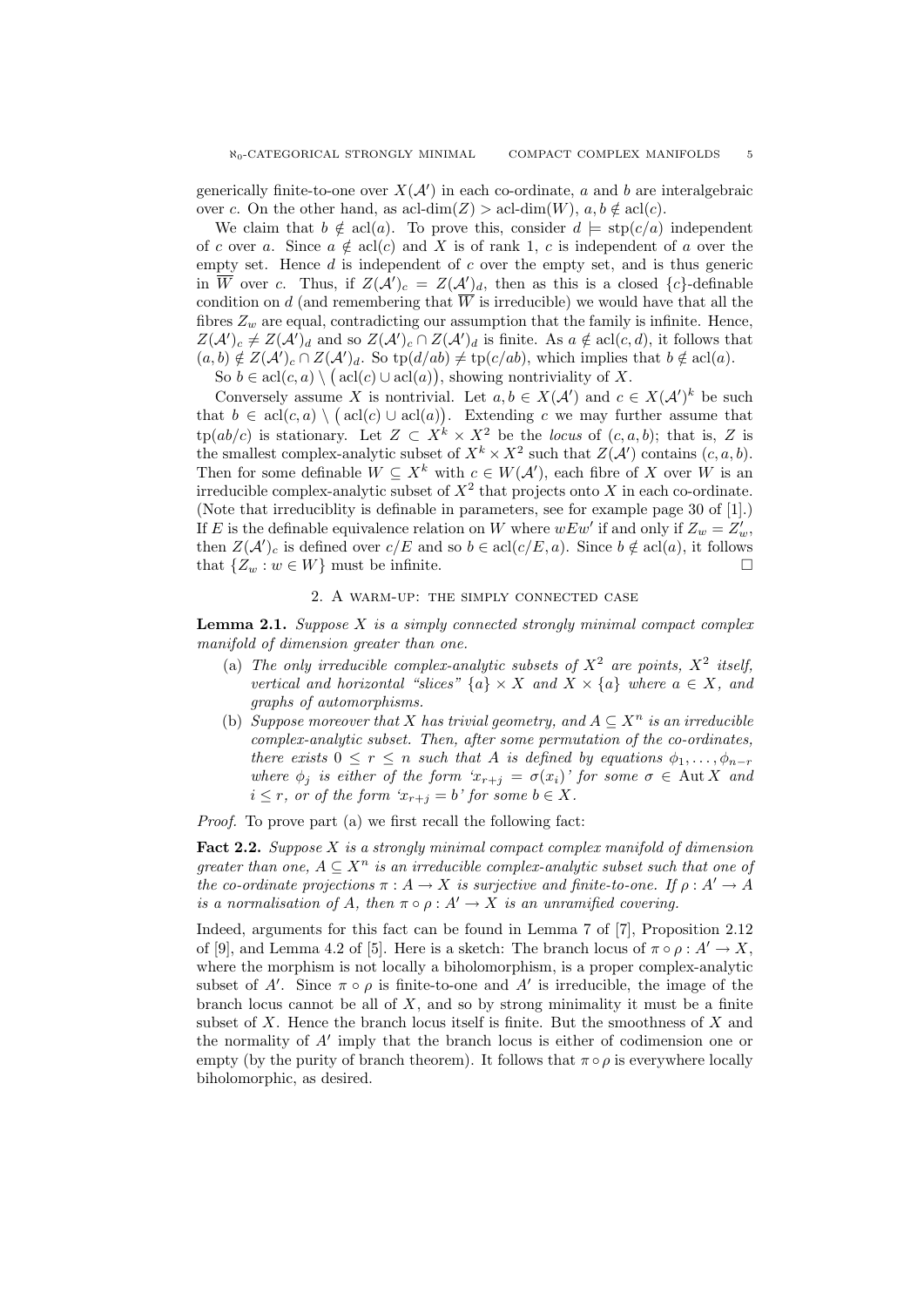generically finite-to-one over  $X(\mathcal{A}')$  in each co-ordinate, a and b are interalgebraic over c. On the other hand, as acl-dim(Z) > acl-dim(W),  $a, b \notin \text{acl}(c)$ .

We claim that  $b \notin \text{acl}(a)$ . To prove this, consider  $d \models \text{stp}(c/a)$  independent of c over a. Since  $a \notin \text{acl}(c)$  and X is of rank 1, c is independent of a over the empty set. Hence  $d$  is independent of  $c$  over the empty set, and is thus generic in  $\overline{W}$  over c. Thus, if  $Z(\mathcal{A}')_c = Z(\mathcal{A}')_d$ , then as this is a closed  $\{c\}$ -definable condition on d (and remembering that  $\overline{W}$  is irreducible) we would have that all the fibres  $Z_w$  are equal, contradicting our assumption that the family is infinite. Hence,  $Z(\mathcal{A}')_c \neq Z(\mathcal{A}')_d$  and so  $Z(\mathcal{A}')_c \cap Z(\mathcal{A}')_d$  is finite. As  $a \notin \text{acl}(c, d)$ , it follows that  $(a, b) \notin Z(\mathcal{A}')_c \cap Z(\mathcal{A}')_d$ . So  $\text{tp}(d/ab) \neq \text{tp}(c/ab)$ , which implies that  $b \notin \text{acl}(a)$ .

So  $b \in \text{acl}(c, a) \setminus (\text{acl}(c) \cup \text{acl}(a)),$  showing nontriviality of X.

Conversely assume X is nontrivial. Let  $a, b \in X(\mathcal{A}')$  and  $c \in X(\mathcal{A}')^k$  be such that  $b \in \text{acl}(c, a) \setminus (\text{acl}(c) \cup \text{acl}(a))$ . Extending c we may further assume that  $tp(ab/c)$  is stationary. Let  $Z \subset X^k \times X^2$  be the locus of  $(c, a, b)$ ; that is, Z is the smallest complex-analytic subset of  $X^k \times X^2$  such that  $Z(\mathcal{A}')$  contains  $(c, a, b)$ . Then for some definable  $W \subseteq X^k$  with  $c \in W(\mathcal{A}')$ , each fibre of X over W is an irreducible complex-analytic subset of  $X^2$  that projects onto X in each co-ordinate. (Note that irreduciblity is definable in parameters, see for example page 30 of [1].) If E is the definable equivalence relation on W where  $wEw'$  if and only if  $Z_w = Z'_w$ , then  $Z(\mathcal{A}')_c$  is defined over  $c/E$  and so  $b \in \text{acl}(c/E, a)$ . Since  $b \notin \text{acl}(a)$ , it follows that  $\{Z_w : w \in W\}$  must be infinite.

# 2. A warm-up: the simply connected case

**Lemma 2.1.** Suppose  $X$  is a simply connected strongly minimal compact complex manifold of dimension greater than one.

- (a) The only irreducible complex-analytic subsets of  $X^2$  are points,  $X^2$  itself, vertical and horizontal "slices"  $\{a\} \times X$  and  $X \times \{a\}$  where  $a \in X$ , and graphs of automorphisms.
- (b) Suppose moreover that X has trivial geometry, and  $A \subseteq X^n$  is an irreducible complex-analytic subset. Then, after some permutation of the co-ordinates, there exists  $0 \leq r \leq n$  such that A is defined by equations  $\phi_1, \ldots, \phi_{n-r}$ where  $\phi_j$  is either of the form ' $x_{r+j} = \sigma(x_i)$ ' for some  $\sigma \in \text{Aut } X$  and  $i \leq r$ , or of the form  $x_{r+i} = b'$  for some  $b \in X$ .

Proof. To prove part (a) we first recall the following fact:

Fact 2.2. Suppose X is a strongly minimal compact complex manifold of dimension greater than one,  $A \subseteq X^n$  is an irreducible complex-analytic subset such that one of the co-ordinate projections  $\pi : A \to X$  is surjective and finite-to-one. If  $\rho : A' \to A$ is a normalisation of A, then  $\pi \circ \rho : A' \to X$  is an unramified covering.

Indeed, arguments for this fact can be found in Lemma 7 of [7], Proposition 2.12 of [9], and Lemma 4.2 of [5]. Here is a sketch: The branch locus of  $\pi \circ \rho : A' \to X$ . where the morphism is not locally a biholomorphism, is a proper complex-analytic subset of A'. Since  $\pi \circ \rho$  is finite-to-one and A' is irreducible, the image of the branch locus cannot be all of  $X$ , and so by strong minimality it must be a finite subset of  $X$ . Hence the branch locus itself is finite. But the smoothness of  $X$  and the normality of  $A'$  imply that the branch locus is either of codimension one or empty (by the purity of branch theorem). It follows that  $\pi \circ \rho$  is everywhere locally biholomorphic, as desired.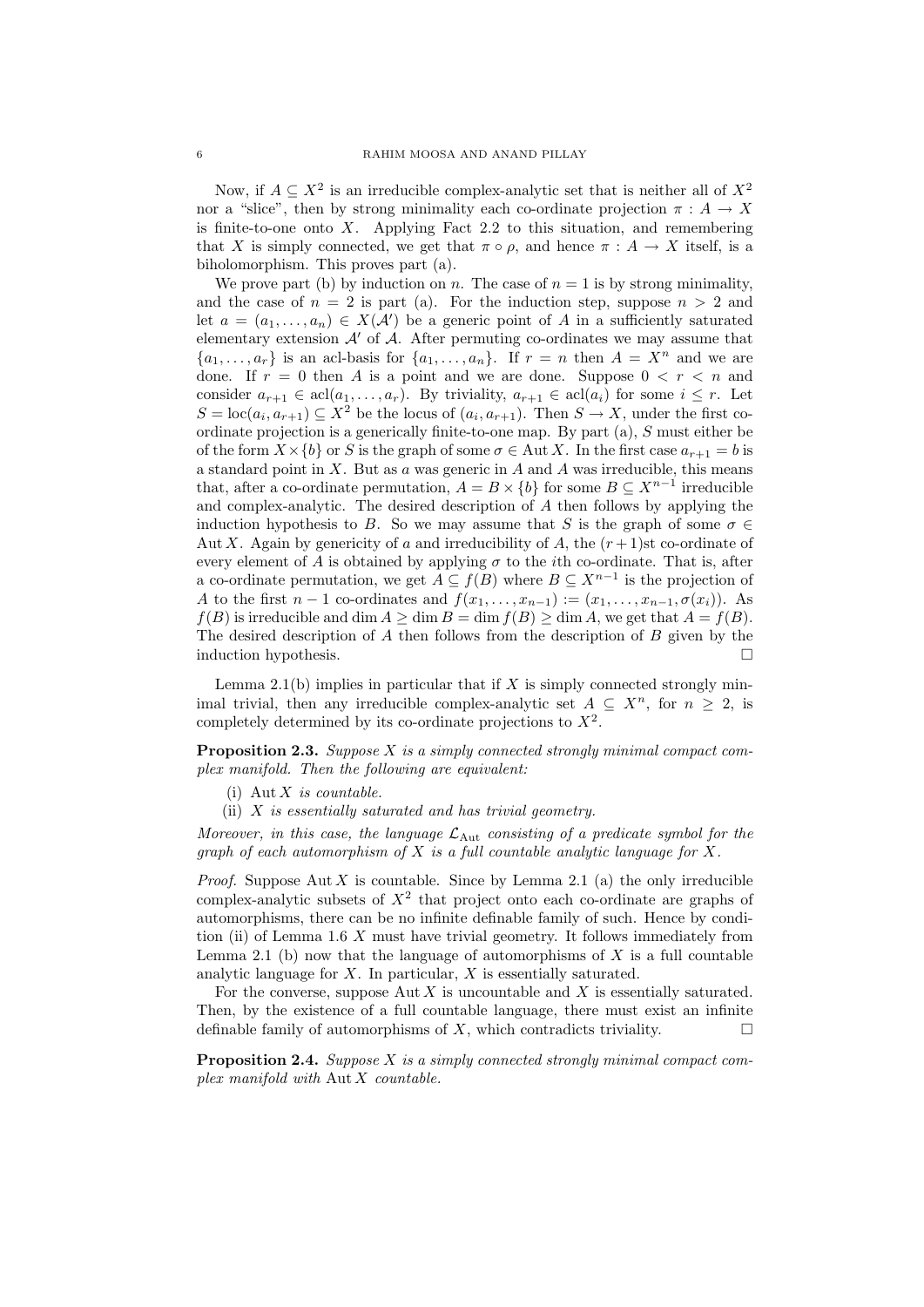Now, if  $A \subseteq X^2$  is an irreducible complex-analytic set that is neither all of  $X^2$ nor a "slice", then by strong minimality each co-ordinate projection  $\pi : A \to X$ is finite-to-one onto  $X$ . Applying Fact 2.2 to this situation, and remembering that X is simply connected, we get that  $\pi \circ \rho$ , and hence  $\pi : A \to X$  itself, is a biholomorphism. This proves part (a).

We prove part (b) by induction on n. The case of  $n = 1$  is by strong minimality, and the case of  $n = 2$  is part (a). For the induction step, suppose  $n > 2$  and let  $a = (a_1, \ldots, a_n) \in X(\mathcal{A}')$  be a generic point of A in a sufficiently saturated elementary extension  $\mathcal{A}'$  of  $\mathcal{A}$ . After permuting co-ordinates we may assume that  ${a_1, \ldots, a_r}$  is an acl-basis for  ${a_1, \ldots, a_n}$ . If  $r = n$  then  $A = X^n$  and we are done. If  $r = 0$  then A is a point and we are done. Suppose  $0 \lt r \lt n$  and consider  $a_{r+1} \in \text{acl}(a_1, \ldots, a_r)$ . By triviality,  $a_{r+1} \in \text{acl}(a_i)$  for some  $i \leq r$ . Let  $S = \text{loc}(a_i, a_{r+1}) \subseteq X^2$  be the locus of  $(a_i, a_{r+1})$ . Then  $S \to X$ , under the first coordinate projection is a generically finite-to-one map. By part (a), S must either be of the form  $X \times \{b\}$  or S is the graph of some  $\sigma \in \text{Aut } X$ . In the first case  $a_{r+1} = b$  is a standard point in  $X$ . But as  $a$  was generic in  $A$  and  $A$  was irreducible, this means that, after a co-ordinate permutation,  $A = B \times \{b\}$  for some  $B \subseteq X^{n-1}$  irreducible and complex-analytic. The desired description of A then follows by applying the induction hypothesis to B. So we may assume that S is the graph of some  $\sigma \in$ Aut X. Again by genericity of a and irreducibility of A, the  $(r+1)$ st co-ordinate of every element of A is obtained by applying  $\sigma$  to the *i*th co-ordinate. That is, after a co-ordinate permutation, we get  $A \subseteq f(B)$  where  $B \subseteq X^{n-1}$  is the projection of A to the first  $n-1$  co-ordinates and  $f(x_1, \ldots, x_{n-1}) := (x_1, \ldots, x_{n-1}, \sigma(x_i))$ . As  $f(B)$  is irreducible and dim  $A \ge \dim B = \dim f(B) \ge \dim A$ , we get that  $A = f(B)$ . The desired description of  $A$  then follows from the description of  $B$  given by the induction hypothesis.

Lemma 2.1(b) implies in particular that if  $X$  is simply connected strongly minimal trivial, then any irreducible complex-analytic set  $A \subseteq X^n$ , for  $n \geq 2$ , is completely determined by its co-ordinate projections to  $X^2$ .

**Proposition 2.3.** Suppose  $X$  is a simply connected strongly minimal compact complex manifold. Then the following are equivalent:

- (i) Aut  $X$  is countable.
- (ii) X is essentially saturated and has trivial geometry.

Moreover, in this case, the language  $\mathcal{L}_{\text{Aut}}$  consisting of a predicate symbol for the graph of each automorphism of  $X$  is a full countable analytic language for  $X$ .

*Proof.* Suppose Aut X is countable. Since by Lemma 2.1 (a) the only irreducible complex-analytic subsets of  $X^2$  that project onto each co-ordinate are graphs of automorphisms, there can be no infinite definable family of such. Hence by condition (ii) of Lemma 1.6 X must have trivial geometry. It follows immediately from Lemma 2.1 (b) now that the language of automorphisms of  $X$  is a full countable analytic language for X. In particular, X is essentially saturated.

For the converse, suppose  $\text{Aut } X$  is uncountable and X is essentially saturated. Then, by the existence of a full countable language, there must exist an infinite definable family of automorphisms of  $X$ , which contradicts triviality.

**Proposition 2.4.** Suppose  $X$  is a simply connected strongly minimal compact complex manifold with Aut X countable.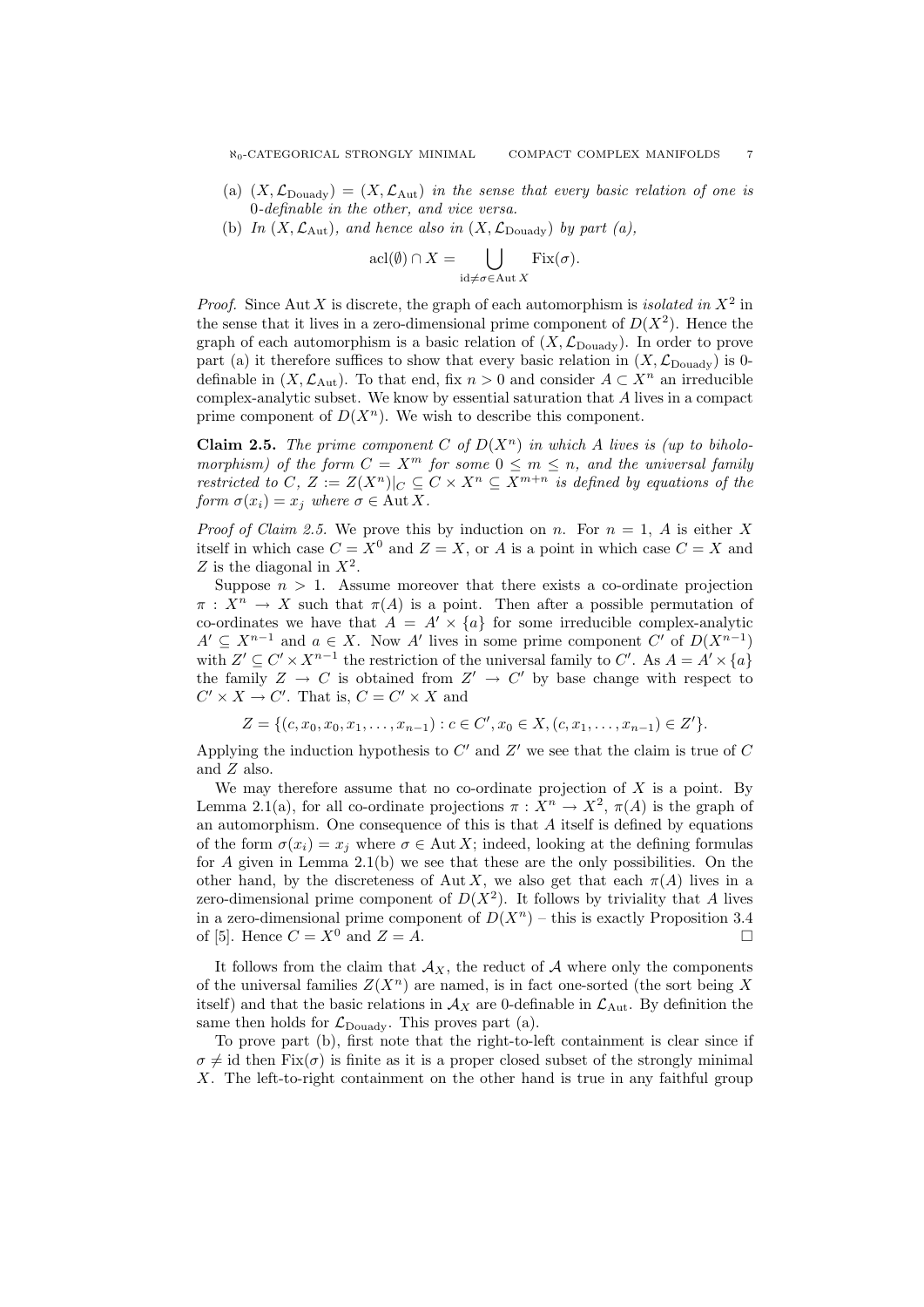- (a)  $(X, \mathcal{L}_{\text{Douady}}) = (X, \mathcal{L}_{\text{Aut}})$  in the sense that every basic relation of one is 0-definable in the other, and vice versa.
- (b) In  $(X, \mathcal{L}_{\text{Aut}})$ , and hence also in  $(X, \mathcal{L}_{\text{Douadv}})$  by part (a),

$$
\operatorname{acl}(\emptyset) \cap X = \bigcup_{\operatorname{id} \neq \sigma \in \operatorname{Aut} X} \operatorname{Fix}(\sigma).
$$

*Proof.* Since Aut X is discrete, the graph of each automorphism is *isolated in*  $X^2$  in the sense that it lives in a zero-dimensional prime component of  $D(X^2)$ . Hence the graph of each automorphism is a basic relation of  $(X, \mathcal{L}_{\text{Douadv}})$ . In order to prove part (a) it therefore suffices to show that every basic relation in  $(X, \mathcal{L}_{\text{Doudy}})$  is 0definable in  $(X, \mathcal{L}_{\text{Aut}})$ . To that end, fix  $n > 0$  and consider  $A \subset X^n$  an irreducible complex-analytic subset. We know by essential saturation that A lives in a compact prime component of  $D(X^n)$ . We wish to describe this component.

**Claim 2.5.** The prime component C of  $D(X^n)$  in which A lives is (up to biholomorphism) of the form  $C = X^m$  for some  $0 \le m \le n$ , and the universal family restricted to C,  $Z := Z(X^n)|_C \subseteq C \times X^n \subseteq X^{m+n}$  is defined by equations of the form  $\sigma(x_i) = x_i$  where  $\sigma \in \text{Aut } X$ .

*Proof of Claim 2.5.* We prove this by induction on n. For  $n = 1$ , A is either X itself in which case  $C = X^0$  and  $Z = X$ , or A is a point in which case  $C = X$  and Z is the diagonal in  $X^2$ .

Suppose  $n > 1$ . Assume moreover that there exists a co-ordinate projection  $\pi: X^n \to X$  such that  $\pi(A)$  is a point. Then after a possible permutation of co-ordinates we have that  $A = A' \times \{a\}$  for some irreducible complex-analytic  $A' \subseteq X^{n-1}$  and  $a \in X$ . Now A' lives in some prime component C' of  $D(X^{n-1})$ with  $Z' \subseteq C' \times X^{n-1}$  the restriction of the universal family to C'. As  $A = A' \times \{a\}$ the family  $Z \to C$  is obtained from  $Z' \to C'$  by base change with respect to  $C' \times X \to C'$ . That is,  $C = C' \times X$  and

$$
Z = \{ (c, x_0, x_0, x_1, \dots, x_{n-1}) : c \in C', x_0 \in X, (c, x_1, \dots, x_{n-1}) \in Z' \}.
$$

Applying the induction hypothesis to  $C'$  and  $Z'$  we see that the claim is true of  $C$ and Z also.

We may therefore assume that no co-ordinate projection of  $X$  is a point. By Lemma 2.1(a), for all co-ordinate projections  $\pi : X^n \to X^2$ ,  $\pi(A)$  is the graph of an automorphism. One consequence of this is that A itself is defined by equations of the form  $\sigma(x_i) = x_i$  where  $\sigma \in \text{Aut } X$ ; indeed, looking at the defining formulas for A given in Lemma 2.1(b) we see that these are the only possibilities. On the other hand, by the discreteness of Aut X, we also get that each  $\pi(A)$  lives in a zero-dimensional prime component of  $D(X^2)$ . It follows by triviality that A lives in a zero-dimensional prime component of  $D(X^n)$  – this is exactly Proposition 3.4 of [5]. Hence  $C = X^0$  and  $Z = A$ .

It follows from the claim that  $A_X$ , the reduct of A where only the components of the universal families  $Z(X^n)$  are named, is in fact one-sorted (the sort being X itself) and that the basic relations in  $A_X$  are 0-definable in  $\mathcal{L}_{\text{Aut}}$ . By definition the same then holds for  $\mathcal{L}_{\text{Douadv}}$ . This proves part (a).

To prove part (b), first note that the right-to-left containment is clear since if  $\sigma \neq id$  then Fix( $\sigma$ ) is finite as it is a proper closed subset of the strongly minimal X. The left-to-right containment on the other hand is true in any faithful group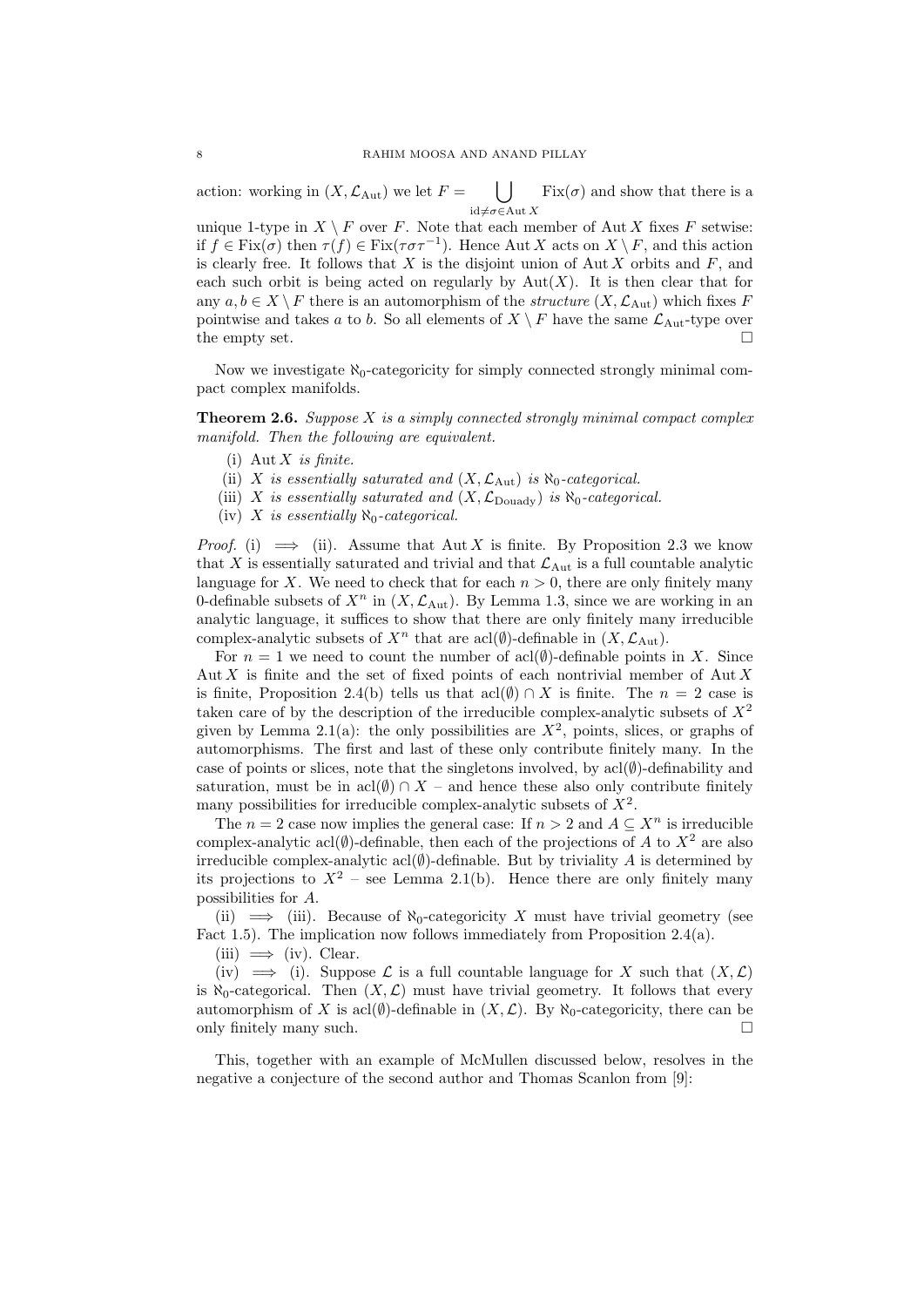action: working in  $(X, \mathcal{L}_{\text{Aut}})$  we let  $F =$  $\vert \ \ \vert$  $id \neq \sigma \in \mathrm{Aut} X$  $Fix(\sigma)$  and show that there is a

unique 1-type in  $X \setminus F$  over F. Note that each member of Aut X fixes F setwise: if  $f \in Fix(\sigma)$  then  $\tau(f) \in Fix(\tau \sigma \tau^{-1})$ . Hence Aut X acts on  $X \setminus F$ , and this action is clearly free. It follows that  $X$  is the disjoint union of Aut  $X$  orbits and  $F$ , and each such orbit is being acted on regularly by  $Aut(X)$ . It is then clear that for any  $a, b \in X \setminus F$  there is an automorphism of the *structure*  $(X, \mathcal{L}_{Aut})$  which fixes F pointwise and takes a to b. So all elements of  $X \setminus F$  have the same  $\mathcal{L}_{\text{Aut}}$ -type over the empty set.  $\square$ 

Now we investigate  $\aleph_0$ -categoricity for simply connected strongly minimal compact complex manifolds.

**Theorem 2.6.** Suppose X is a simply connected strongly minimal compact complex manifold. Then the following are equivalent.

- (i)  $\text{Aut } X$  is finite.
- (ii) X is essentially saturated and  $(X, \mathcal{L}_{\text{Aut}})$  is  $\aleph_0$ -categorical.
- (iii) X is essentially saturated and  $(X, \mathcal{L}_{\text{Douady}})$  is  $\aleph_0$ -categorical.
- (iv) X is essentially  $\aleph_0$ -categorical.

*Proof.* (i)  $\implies$  (ii). Assume that Aut X is finite. By Proposition 2.3 we know that X is essentially saturated and trivial and that  $\mathcal{L}_{\text{Aut}}$  is a full countable analytic language for X. We need to check that for each  $n > 0$ , there are only finitely many 0-definable subsets of  $X^n$  in  $(X, \mathcal{L}_{\text{Aut}})$ . By Lemma 1.3, since we are working in an analytic language, it suffices to show that there are only finitely many irreducible complex-analytic subsets of  $X^n$  that are acl( $\emptyset$ )-definable in  $(X, \mathcal{L}_{\text{Aut}})$ .

For  $n = 1$  we need to count the number of acl( $\emptyset$ )-definable points in X. Since Aut X is finite and the set of fixed points of each nontrivial member of Aut X is finite, Proposition 2.4(b) tells us that  $\text{acl}(\emptyset) \cap X$  is finite. The  $n = 2$  case is taken care of by the description of the irreducible complex-analytic subsets of  $X^2$ given by Lemma 2.1(a): the only possibilities are  $X^2$ , points, slices, or graphs of automorphisms. The first and last of these only contribute finitely many. In the case of points or slices, note that the singletons involved, by  $\text{acl}(\emptyset)$ -definability and saturation, must be in acl $(\emptyset) \cap X$  – and hence these also only contribute finitely many possibilities for irreducible complex-analytic subsets of  $X^2$ .

The  $n = 2$  case now implies the general case: If  $n > 2$  and  $A \subseteq X^n$  is irreducible complex-analytic acl( $\emptyset$ )-definable, then each of the projections of A to  $X^2$  are also irreducible complex-analytic acl $(\emptyset)$ -definable. But by triviality A is determined by its projections to  $X^2$  – see Lemma 2.1(b). Hence there are only finitely many possibilities for A.

(ii)  $\implies$  (iii). Because of  $\aleph_0$ -categoricity X must have trivial geometry (see Fact 1.5). The implication now follows immediately from Proposition 2.4(a).

 $(iii) \implies (iv)$ . Clear.

(iv)  $\implies$  (i). Suppose L is a full countable language for X such that  $(X, \mathcal{L})$ is  $\aleph_0$ -categorical. Then  $(X, \mathcal{L})$  must have trivial geometry. It follows that every automorphism of X is acl $(\emptyset)$ -definable in  $(X, \mathcal{L})$ . By  $\aleph_0$ -categoricity, there can be only finitely many such.

This, together with an example of McMullen discussed below, resolves in the negative a conjecture of the second author and Thomas Scanlon from [9]: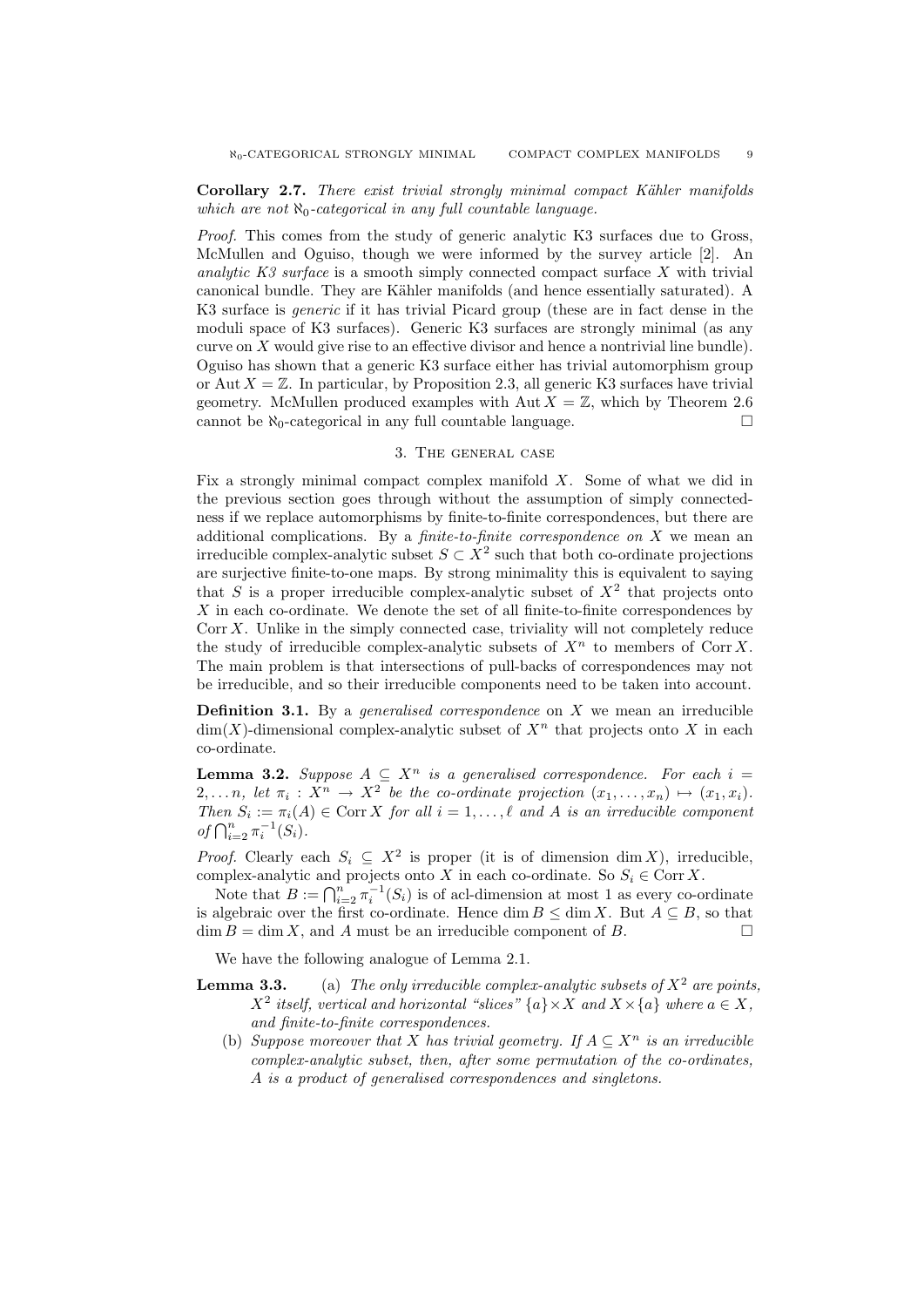Proof. This comes from the study of generic analytic K3 surfaces due to Gross, McMullen and Oguiso, though we were informed by the survey article [2]. An analytic K3 surface is a smooth simply connected compact surface  $X$  with trivial canonical bundle. They are Kähler manifolds (and hence essentially saturated). A K3 surface is generic if it has trivial Picard group (these are in fact dense in the moduli space of K3 surfaces). Generic K3 surfaces are strongly minimal (as any curve on  $X$  would give rise to an effective divisor and hence a nontrivial line bundle). Oguiso has shown that a generic K3 surface either has trivial automorphism group or Aut  $X = \mathbb{Z}$ . In particular, by Proposition 2.3, all generic K3 surfaces have trivial geometry. McMullen produced examples with Aut  $X = \mathbb{Z}$ , which by Theorem 2.6 cannot be  $\aleph_0$ -categorical in any full countable language.

### 3. The general case

Fix a strongly minimal compact complex manifold  $X$ . Some of what we did in the previous section goes through without the assumption of simply connectedness if we replace automorphisms by finite-to-finite correspondences, but there are additional complications. By a *finite-to-finite correspondence on*  $X$  we mean an irreducible complex-analytic subset  $S \subset X^2$  such that both co-ordinate projections are surjective finite-to-one maps. By strong minimality this is equivalent to saying that S is a proper irreducible complex-analytic subset of  $X^2$  that projects onto  $X$  in each co-ordinate. We denote the set of all finite-to-finite correspondences by Corr  $X$ . Unlike in the simply connected case, triviality will not completely reduce the study of irreducible complex-analytic subsets of  $X<sup>n</sup>$  to members of Corr X. The main problem is that intersections of pull-backs of correspondences may not be irreducible, and so their irreducible components need to be taken into account.

**Definition 3.1.** By a *generalised correspondence* on  $X$  we mean an irreducible  $\dim(X)$ -dimensional complex-analytic subset of  $X^n$  that projects onto X in each co-ordinate.

**Lemma 3.2.** Suppose  $A \subseteq X^n$  is a generalised correspondence. For each  $i =$  $2, \ldots n$ , let  $\pi_i: X^n \to X^2$  be the co-ordinate projection  $(x_1, \ldots, x_n) \mapsto (x_1, x_i)$ . Then  $S_i := \pi_i(A) \in \text{Corr } X$  for all  $i = 1, ..., \ell$  and A is an irreducible component of  $\bigcap_{i=2}^{n} \pi_i^{-1}(S_i)$ .

*Proof.* Clearly each  $S_i \subseteq X^2$  is proper (it is of dimension dim X), irreducible, complex-analytic and projects onto X in each co-ordinate. So  $S_i \in \text{Corr } X$ .

Note that  $B := \bigcap_{i=2}^n \pi_i^{-1}(S_i)$  is of acl-dimension at most 1 as every co-ordinate is algebraic over the first co-ordinate. Hence  $\dim B \leq \dim X$ . But  $A \subseteq B$ , so that  $\dim B = \dim X$ , and A must be an irreducible component of B.

We have the following analogue of Lemma 2.1.

- **Lemma 3.3.** (a) The only irreducible complex-analytic subsets of  $X^2$  are points,  $X^2$  itself, vertical and horizontal "slices"  $\{a\} \times X$  and  $X \times \{a\}$  where  $a \in X$ , and finite-to-finite correspondences.
	- (b) Suppose moreover that X has trivial geometry. If  $A \subseteq X^n$  is an irreducible complex-analytic subset, then, after some permutation of the co-ordinates, A is a product of generalised correspondences and singletons.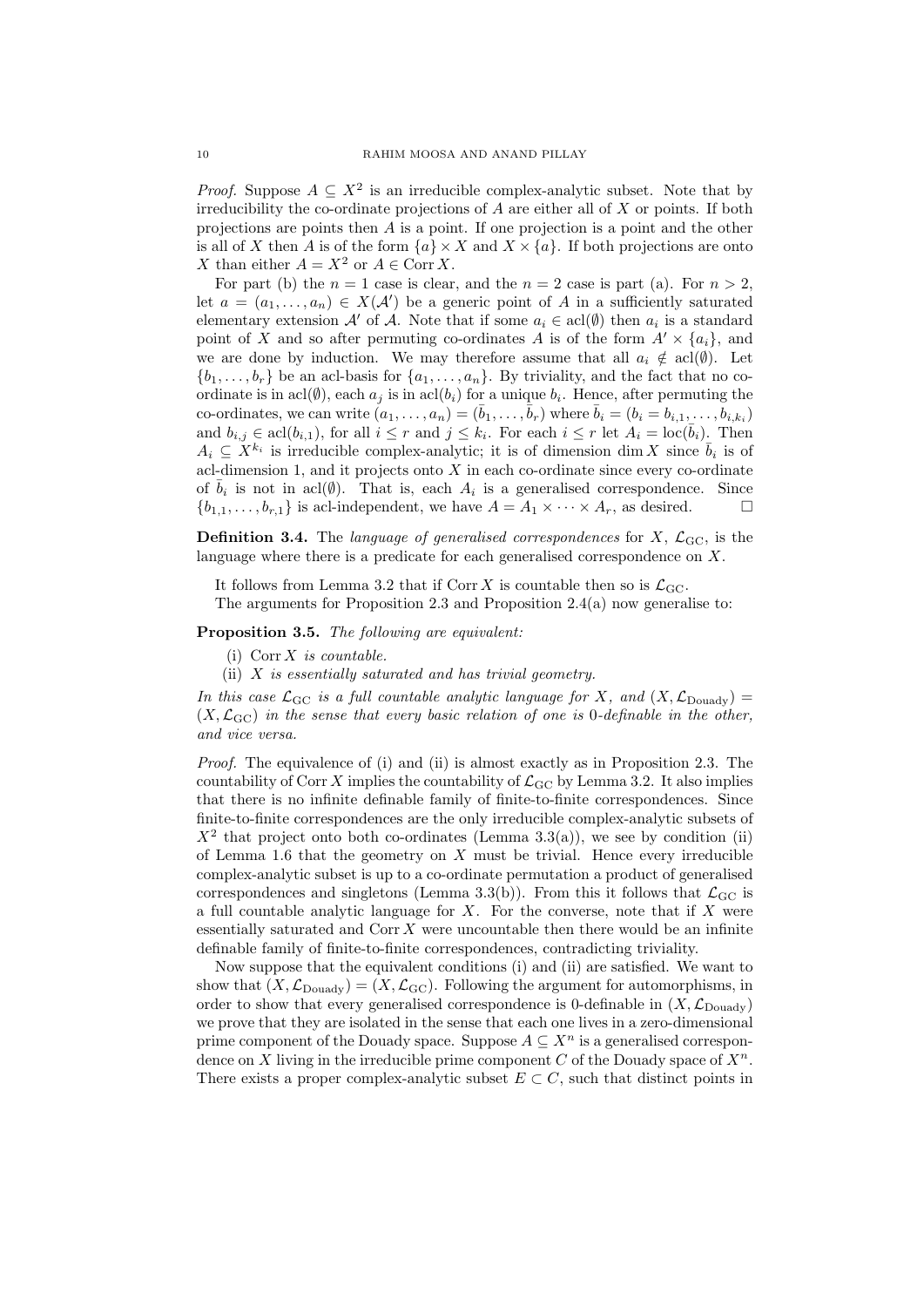*Proof.* Suppose  $A \subseteq X^2$  is an irreducible complex-analytic subset. Note that by irreducibility the co-ordinate projections of  $A$  are either all of  $X$  or points. If both projections are points then A is a point. If one projection is a point and the other is all of X then A is of the form  $\{a\} \times X$  and  $X \times \{a\}$ . If both projections are onto X than either  $A = X^2$  or  $A \in \text{Corr } X$ .

For part (b) the  $n = 1$  case is clear, and the  $n = 2$  case is part (a). For  $n > 2$ , let  $a = (a_1, \ldots, a_n) \in X(\mathcal{A}')$  be a generic point of A in a sufficiently saturated elementary extension  $\mathcal{A}'$  of  $\mathcal{A}$ . Note that if some  $a_i \in \text{acl}(\emptyset)$  then  $a_i$  is a standard point of X and so after permuting co-ordinates A is of the form  $A' \times \{a_i\}$ , and we are done by induction. We may therefore assume that all  $a_i \notin \text{acl}(\emptyset)$ . Let  $\{b_1, \ldots, b_r\}$  be an acl-basis for  $\{a_1, \ldots, a_n\}$ . By triviality, and the fact that no coordinate is in acl $(\emptyset)$ , each  $a_j$  is in acl $(b_i)$  for a unique  $b_i$ . Hence, after permuting the co-ordinates, we can write  $(a_1, \ldots, a_n) = (\bar{b}_1, \ldots, \bar{b}_r)$  where  $\bar{b}_i = (b_i = b_{i,1}, \ldots, b_{i,k_i})$ and  $b_{i,j} \in \text{acl}(b_{i,1})$ , for all  $i \leq r$  and  $j \leq k_i$ . For each  $i \leq r$  let  $A_i = \text{loc}(\bar{b}_i)$ . Then  $A_i \subseteq X^{k_i}$  is irreducible complex-analytic; it is of dimension dim X since  $\bar{b}_i$  is of acl-dimension 1, and it projects onto  $X$  in each co-ordinate since every co-ordinate of  $\bar{b}_i$  is not in acl( $\emptyset$ ). That is, each  $A_i$  is a generalised correspondence. Since  ${b_{1,1}, \ldots, b_{r,1}}$  is acl-independent, we have  $A = A_1 \times \cdots \times A_r$ , as desired.

**Definition 3.4.** The language of generalised correspondences for X,  $\mathcal{L}_{\text{GC}}$ , is the language where there is a predicate for each generalised correspondence on X.

It follows from Lemma 3.2 that if Corr X is countable then so is  $\mathcal{L}_{\text{GC}}$ . The arguments for Proposition 2.3 and Proposition 2.4(a) now generalise to:

# Proposition 3.5. The following are equivalent:

- (i)  $Corr X$  is countable.
- (ii) X is essentially saturated and has trivial geometry.

In this case  $\mathcal{L}_{\text{GC}}$  is a full countable analytic language for X, and  $(X, \mathcal{L}_{\text{Douadv}})$  =  $(X, \mathcal{L}_{\text{GC}})$  in the sense that every basic relation of one is 0-definable in the other, and vice versa.

Proof. The equivalence of (i) and (ii) is almost exactly as in Proposition 2.3. The countability of Corr X implies the countability of  $\mathcal{L}_{\text{GC}}$  by Lemma 3.2. It also implies that there is no infinite definable family of finite-to-finite correspondences. Since finite-to-finite correspondences are the only irreducible complex-analytic subsets of  $X^2$  that project onto both co-ordinates (Lemma 3.3(a)), we see by condition (ii) of Lemma 1.6 that the geometry on  $X$  must be trivial. Hence every irreducible complex-analytic subset is up to a co-ordinate permutation a product of generalised correspondences and singletons (Lemma 3.3(b)). From this it follows that  $\mathcal{L}_{GC}$  is a full countable analytic language for  $X$ . For the converse, note that if  $X$  were essentially saturated and  $Corr X$  were uncountable then there would be an infinite definable family of finite-to-finite correspondences, contradicting triviality.

Now suppose that the equivalent conditions (i) and (ii) are satisfied. We want to show that  $(X, \mathcal{L}_{\text{Douadv}}) = (X, \mathcal{L}_{\text{GC}})$ . Following the argument for automorphisms, in order to show that every generalised correspondence is 0-definable in  $(X, \mathcal{L}_{\text{Douadv}})$ we prove that they are isolated in the sense that each one lives in a zero-dimensional prime component of the Douady space. Suppose  $A \subseteq X^n$  is a generalised correspondence on X living in the irreducible prime component C of the Douady space of  $X^n$ . There exists a proper complex-analytic subset  $E \subset C$ , such that distinct points in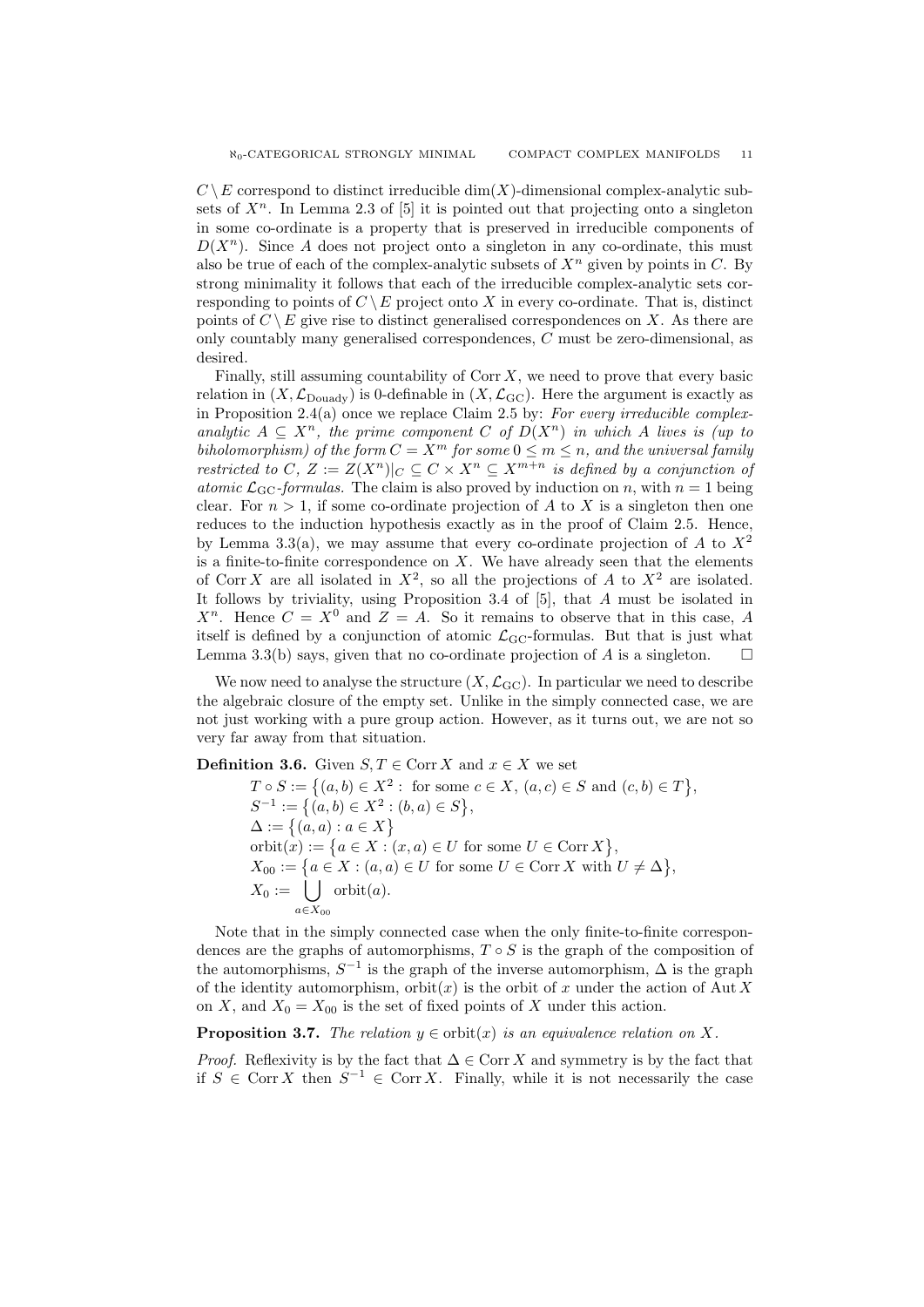$C \setminus E$  correspond to distinct irreducible dim $(X)$ -dimensional complex-analytic subsets of  $X^n$ . In Lemma 2.3 of [5] it is pointed out that projecting onto a singleton in some co-ordinate is a property that is preserved in irreducible components of  $D(X^n)$ . Since A does not project onto a singleton in any co-ordinate, this must also be true of each of the complex-analytic subsets of  $X^n$  given by points in C. By strong minimality it follows that each of the irreducible complex-analytic sets corresponding to points of  $C \setminus E$  project onto X in every co-ordinate. That is, distinct points of  $C \setminus E$  give rise to distinct generalised correspondences on X. As there are only countably many generalised correspondences, C must be zero-dimensional, as desired.

Finally, still assuming countability of  $Corr X$ , we need to prove that every basic relation in  $(X, \mathcal{L}_{\text{Douadv}})$  is 0-definable in  $(X, \mathcal{L}_{\text{GC}})$ . Here the argument is exactly as in Proposition 2.4(a) once we replace Claim 2.5 by: For every irreducible complexanalytic  $A \subseteq X^n$ , the prime component C of  $D(X^n)$  in which A lives is (up to biholomorphism) of the form  $C = X^m$  for some  $0 \le m \le n$ , and the universal family restricted to C,  $Z := Z(X^n)|_C \subset C \times X^n \subset X^{m+n}$  is defined by a conjunction of atomic  $\mathcal{L}_{\text{GC}}$ -formulas. The claim is also proved by induction on n, with  $n = 1$  being clear. For  $n > 1$ , if some co-ordinate projection of A to X is a singleton then one reduces to the induction hypothesis exactly as in the proof of Claim 2.5. Hence, by Lemma 3.3(a), we may assume that every co-ordinate projection of A to  $X^2$ is a finite-to-finite correspondence on  $X$ . We have already seen that the elements of Corr X are all isolated in  $X^2$ , so all the projections of A to  $X^2$  are isolated. It follows by triviality, using Proposition 3.4 of [5], that A must be isolated in  $X^n$ . Hence  $C = X^0$  and  $Z = A$ . So it remains to observe that in this case, A itself is defined by a conjunction of atomic  $\mathcal{L}_{\text{GC}}$ -formulas. But that is just what Lemma 3.3(b) says, given that no co-ordinate projection of A is a singleton.  $\square$ 

We now need to analyse the structure  $(X, \mathcal{L}_{\text{GC}})$ . In particular we need to describe the algebraic closure of the empty set. Unlike in the simply connected case, we are not just working with a pure group action. However, as it turns out, we are not so very far away from that situation.

**Definition 3.6.** Given  $S, T \in \text{Corr } X$  and  $x \in X$  we set

 $T \circ S := \{(a, b) \in X^2 : \text{ for some } c \in X, (a, c) \in S \text{ and } (c, b) \in T\},\$  $S^{-1} := \{(a, b) \in X^2 : (b, a) \in S\},\$  $\Delta := \{(a, a) : a \in X\}$ orbit $(x) := \{a \in X : (x, a) \in U \text{ for some } U \in \text{Corr } X\},\$  $X_{00} := \{a \in X : (a, a) \in U \text{ for some } U \in \text{Corr } X \text{ with } U \neq \Delta\},\$  $X_0 := | \bigcup$  $a \in X_{00}$  $orbit(a).$ 

Note that in the simply connected case when the only finite-to-finite correspondences are the graphs of automorphisms,  $T \circ S$  is the graph of the composition of the automorphisms,  $S^{-1}$  is the graph of the inverse automorphism,  $\Delta$  is the graph of the identity automorphism,  $orbit(x)$  is the orbit of x under the action of Aut X on X, and  $X_0 = X_{00}$  is the set of fixed points of X under this action.

**Proposition 3.7.** The relation  $y \in orbit(x)$  is an equivalence relation on X.

*Proof.* Reflexivity is by the fact that  $\Delta \in \text{Corr } X$  and symmetry is by the fact that if  $S \in \text{Corr } X$  then  $S^{-1} \in \text{Corr } X$ . Finally, while it is not necessarily the case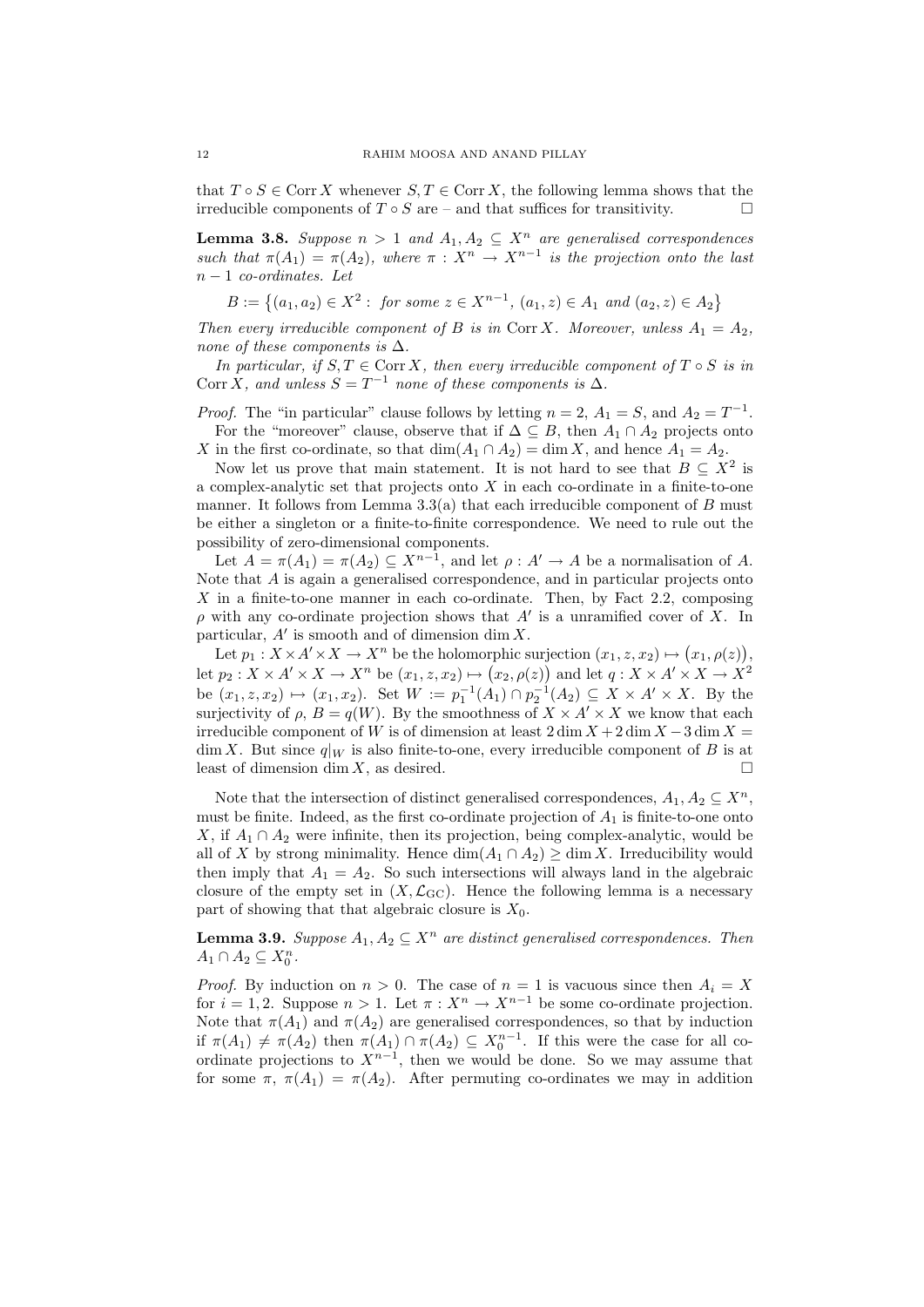that  $T \circ S \in \text{Corr } X$  whenever  $S, T \in \text{Corr } X$ , the following lemma shows that the irreducible components of  $T \circ S$  are – and that suffices for transitivity.

**Lemma 3.8.** Suppose  $n > 1$  and  $A_1, A_2 \subseteq X^n$  are generalised correspondences such that  $\pi(A_1) = \pi(A_2)$ , where  $\pi : X^n \to X^{n-1}$  is the projection onto the last  $n-1$  co-ordinates. Let

 $B := \{(a_1, a_2) \in X^2 : \text{ for some } z \in X^{n-1}, (a_1, z) \in A_1 \text{ and } (a_2, z) \in A_2\}$ 

Then every irreducible component of B is in Corr X. Moreover, unless  $A_1 = A_2$ , none of these components is  $\Delta$ .

In particular, if  $S, T \in \text{Corr } X$ , then every irreducible component of  $T \circ S$  is in Corr X, and unless  $S = T^{-1}$  none of these components is  $\Delta$ .

*Proof.* The "in particular" clause follows by letting  $n = 2$ ,  $A_1 = S$ , and  $A_2 = T^{-1}$ . For the "moreover" clause, observe that if  $\Delta \subseteq B$ , then  $A_1 \cap A_2$  projects onto X in the first co-ordinate, so that  $\dim(A_1 \cap A_2) = \dim X$ , and hence  $A_1 = A_2$ .

Now let us prove that main statement. It is not hard to see that  $B \subseteq X^2$  is a complex-analytic set that projects onto  $X$  in each co-ordinate in a finite-to-one manner. It follows from Lemma 3.3(a) that each irreducible component of  $B$  must be either a singleton or a finite-to-finite correspondence. We need to rule out the possibility of zero-dimensional components.

Let  $A = \pi(A_1) = \pi(A_2) \subseteq X^{n-1}$ , and let  $\rho : A' \to A$  be a normalisation of A. Note that A is again a generalised correspondence, and in particular projects onto  $X$  in a finite-to-one manner in each co-ordinate. Then, by Fact 2.2, composing  $\rho$  with any co-ordinate projection shows that  $A'$  is a unramified cover of X. In particular,  $A'$  is smooth and of dimension dim X.

Let  $p_1: X \times A' \times X \to X^n$  be the holomorphic surjection  $(x_1, z, x_2) \mapsto (x_1, \rho(z)),$ let  $p_2: X \times A' \times X \to X^n$  be  $(x_1, z, x_2) \mapsto (x_2, \rho(z))$  and let  $q: X \times A' \times X \to X^2$ be  $(x_1, z, x_2) \mapsto (x_1, x_2)$ . Set  $W := p_1^{-1}(A_1) \cap p_2^{-1}(A_2) \subseteq X \times A' \times X$ . By the surjectivity of  $\rho$ ,  $B = q(W)$ . By the smoothness of  $X \times A' \times X$  we know that each irreducible component of W is of dimension at least  $2 \dim X + 2 \dim X - 3 \dim X =$  $\dim X$ . But since  $q|_W$  is also finite-to-one, every irreducible component of B is at least of dimension dim X, as desired.

Note that the intersection of distinct generalised correspondences,  $A_1, A_2 \subseteq X^n$ , must be finite. Indeed, as the first co-ordinate projection of  $A_1$  is finite-to-one onto X, if  $A_1 \cap A_2$  were infinite, then its projection, being complex-analytic, would be all of X by strong minimality. Hence  $\dim(A_1 \cap A_2) \geq \dim X$ . Irreducibility would then imply that  $A_1 = A_2$ . So such intersections will always land in the algebraic closure of the empty set in  $(X, \mathcal{L}_{\text{GC}})$ . Hence the following lemma is a necessary part of showing that that algebraic closure is  $X_0$ .

**Lemma 3.9.** Suppose  $A_1, A_2 \subseteq X^n$  are distinct generalised correspondences. Then  $A_1 \cap A_2 \subseteq X_0^n$ .

*Proof.* By induction on  $n > 0$ . The case of  $n = 1$  is vacuous since then  $A_i = X$ for  $i = 1, 2$ . Suppose  $n > 1$ . Let  $\pi : X^n \to X^{n-1}$  be some co-ordinate projection. Note that  $\pi(A_1)$  and  $\pi(A_2)$  are generalised correspondences, so that by induction if  $\pi(A_1) \neq \pi(A_2)$  then  $\pi(A_1) \cap \pi(A_2) \subseteq X_0^{n-1}$ . If this were the case for all coordinate projections to  $X^{n-1}$ , then we would be done. So we may assume that for some  $\pi$ ,  $\pi(A_1) = \pi(A_2)$ . After permuting co-ordinates we may in addition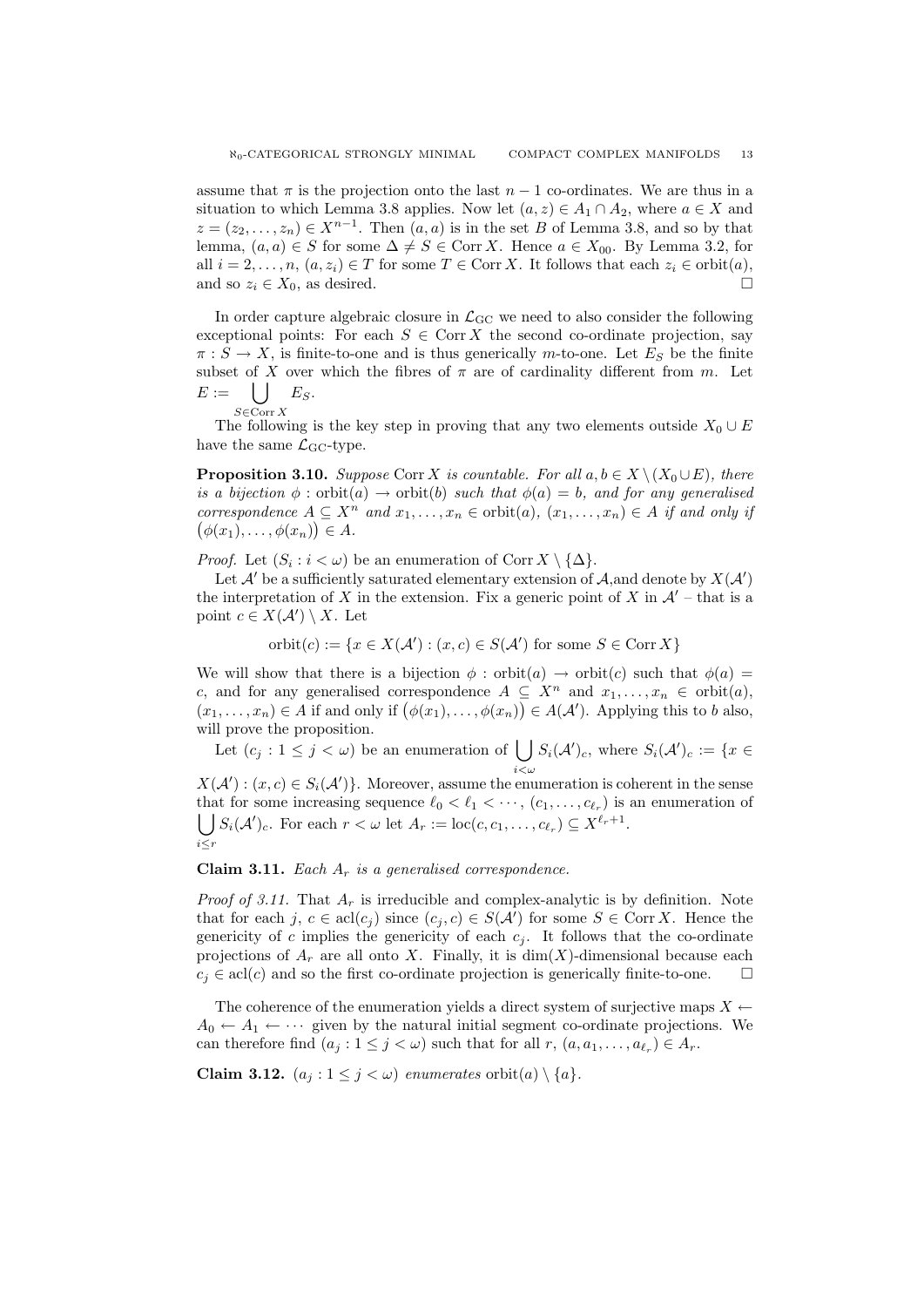assume that  $\pi$  is the projection onto the last  $n-1$  co-ordinates. We are thus in a situation to which Lemma 3.8 applies. Now let  $(a, z) \in A_1 \cap A_2$ , where  $a \in X$  and  $z = (z_2, \ldots, z_n) \in X^{n-1}$ . Then  $(a, a)$  is in the set B of Lemma 3.8, and so by that lemma,  $(a, a) \in S$  for some  $\Delta \neq S \in \text{Corr } X$ . Hence  $a \in X_{00}$ . By Lemma 3.2, for all  $i = 2, \ldots, n, (a, z_i) \in T$  for some  $T \in \text{Corr } X$ . It follows that each  $z_i \in \text{orbit}(a)$ , and so  $z_i \in X_0$ , as desired.

In order capture algebraic closure in  $\mathcal{L}_{GC}$  we need to also consider the following exceptional points: For each  $S \in \text{Corr } X$  the second co-ordinate projection, say  $\pi : S \to X$ , is finite-to-one and is thus generically m-to-one. Let  $E_S$  be the finite subset of X over which the fibres of  $\pi$  are of cardinality different from m. Let  $E := \bigcup E_S.$ 

$$
\mathop{\rm s\in Corr} X
$$

 $S \in \text{Corr } X$ <br>The following is the key step in proving that any two elements outside  $X_0 \cup E$ have the same  $\mathcal{L}_{\text{GC}}$ -type.

**Proposition 3.10.** Suppose Corr X is countable. For all  $a, b \in X \setminus (X_0 \cup E)$ , there is a bijection  $\phi$ : orbit $(a) \rightarrow$  orbit $(b)$  such that  $\phi(a) = b$ , and for any generalised correspondence  $A \subseteq X^n$  and  $x_1, \ldots, x_n \in \text{orbit}(a), (x_1, \ldots, x_n) \in A$  if and only if  $(\phi(x_1), \ldots, \phi(x_n)) \in A.$ 

*Proof.* Let  $(S_i : i < \omega)$  be an enumeration of Corr  $X \setminus {\{\Delta\}}$ .

Let  $\mathcal{A}'$  be a sufficiently saturated elementary extension of  $\mathcal{A}$ , and denote by  $X(\mathcal{A}')$ the interpretation of X in the extension. Fix a generic point of X in  $\mathcal{A}'$  – that is a point  $c \in X(\mathcal{A}') \setminus X$ . Let

 $orbit(c) := \{x \in X(\mathcal{A}') : (x, c) \in S(\mathcal{A}') \text{ for some } S \in \text{Corr } X\}$ 

We will show that there is a bijection  $\phi$  : orbit(a)  $\rightarrow$  orbit(c) such that  $\phi(a)$  = c, and for any generalised correspondence  $A \subseteq X^n$  and  $x_1, \ldots, x_n \in \text{orbit}(a)$ ,  $(x_1, \ldots, x_n) \in A$  if and only if  $(\phi(x_1), \ldots, \phi(x_n)) \in A(A')$ . Applying this to b also, will prove the proposition.

Let  $(c_j : 1 \leq j < \omega)$  be an enumeration of  $\bigcup S_i(\mathcal{A}')_c$ , where  $S_i(\mathcal{A}')_c := \{x \in \Omega\}$ 

 $X(\mathcal{A}'): (x, c) \in S_i(\mathcal{A}')\}$ . Moreover, assume the enumeration is coherent in the sense that for some increasing sequence  $\ell_0 < \ell_1 < \cdots$ ,  $(c_1, \ldots, c_{\ell_r})$  is an enumeration of  $\bigcup S_i(\mathcal{A}')_c$ . For each  $r < \omega$  let  $A_r := \text{loc}(c, c_1, \ldots, c_{\ell_r}) \subseteq X^{\ell_r+1}$ . i≤r

**Claim 3.11.** Each  $A_r$  is a generalised correspondence.

*Proof of 3.11.* That  $A_r$  is irreducible and complex-analytic is by definition. Note that for each j,  $c \in \text{acl}(c_j)$  since  $(c_j, c) \in S(\mathcal{A}')$  for some  $S \in \text{Corr } X$ . Hence the genericity of c implies the genericity of each  $c_j$ . It follows that the co-ordinate projections of  $A_r$  are all onto X. Finally, it is  $dim(X)$ -dimensional because each  $c_j \in \text{acl}(c)$  and so the first co-ordinate projection is generically finite-to-one.  $\Box$ 

The coherence of the enumeration yields a direct system of surjective maps  $X \leftarrow$  $A_0 \leftarrow A_1 \leftarrow \cdots$  given by the natural initial segment co-ordinate projections. We can therefore find  $(a_j : 1 \leq j < \omega)$  such that for all  $r, (a, a_1, \ldots, a_{\ell_r}) \in A_r$ .

Claim 3.12.  $(a_j : 1 \leq j < \omega)$  enumerates orbit $(a) \setminus \{a\}.$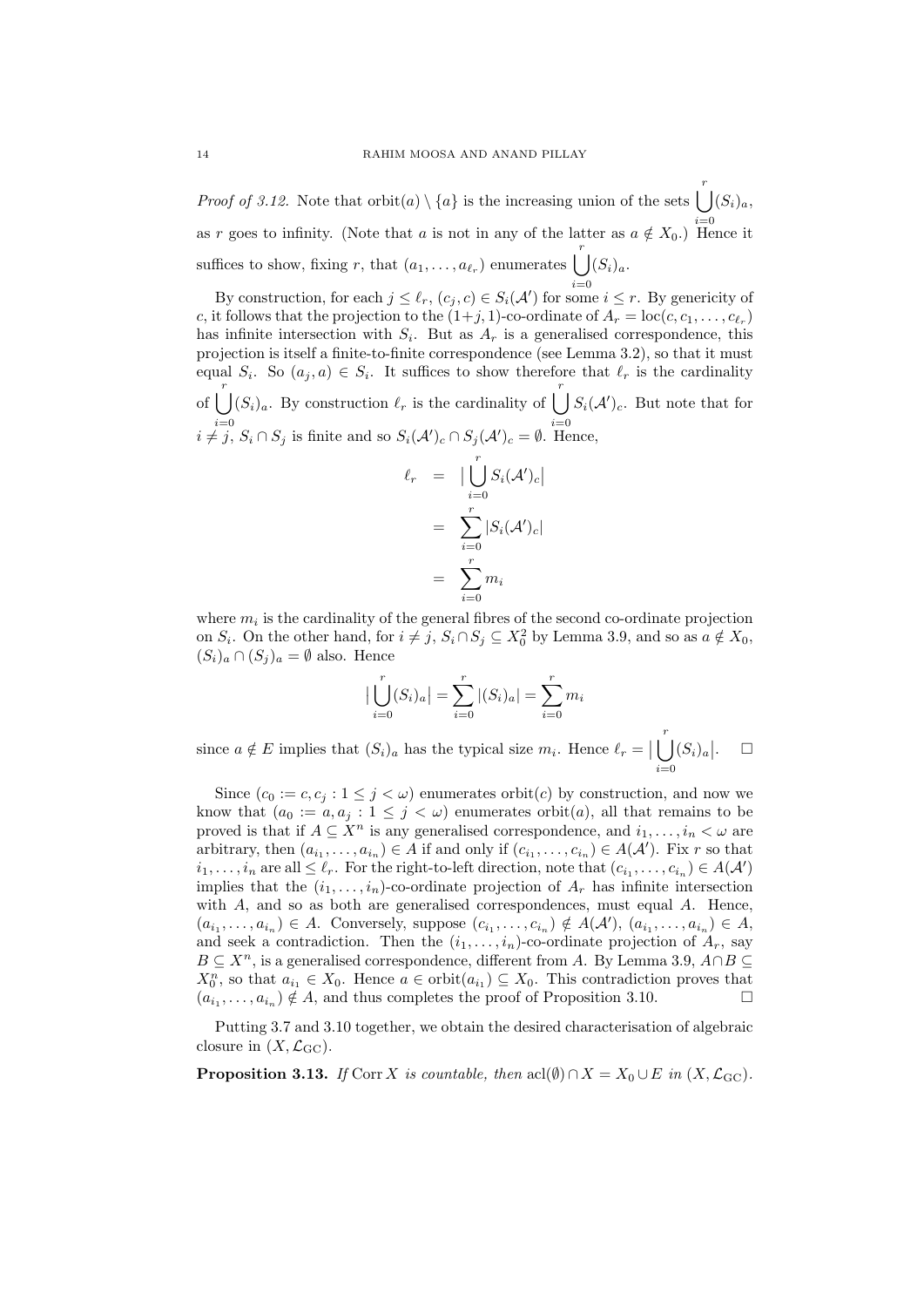*Proof of 3.12.* Note that  $\text{orbit}(a) \setminus \{a\}$  is the increasing union of the sets  $\left( \int_{a}^{b} |(S_i)_a, \right)$ as r goes to infinity. (Note that a is not in any of the latter as  $a \notin X_0$ .) Hence it suffices to show, fixing r, that  $(a_1, \ldots, a_{\ell_r})$  enumerates  $\bigcup^r (S_i)_a$ .

By construction, for each  $j \leq \ell_r$ ,  $(c_j, c) \in S_i(\mathcal{A}')$  for some  $i \leq r$ . By genericity of c, it follows that the projection to the  $(1+j, 1)$ -co-ordinate of  $A_r = \text{loc}(c, c_1, \ldots, c_{\ell_r})$ has infinite intersection with  $S_i$ . But as  $A_r$  is a generalised correspondence, this projection is itself a finite-to-finite correspondence (see Lemma 3.2), so that it must equal  $S_i$ . So  $(a_j, a) \in S_i$ . It suffices to show therefore that  $\ell_r$  is the cardinality of  $\begin{pmatrix} r \\ r \end{pmatrix}$  $i=0$  $(S_i)_a$ . By construction  $\ell_r$  is the cardinality of  $\begin{bmatrix} r \end{bmatrix}$  $i=0$  $S_i(\mathcal{A}')_c$ . But note that for  $i \neq j$ ,  $S_i \cap S_j$  is finite and so  $S_i(\mathcal{A}')_c \cap S_j(\mathcal{A}')_c = \emptyset$ . Hence,

$$
\ell_r = \Big| \bigcup_{i=0}^r S_i(\mathcal{A}')_c \Big|
$$
  
= 
$$
\sum_{i=0}^r |S_i(\mathcal{A}')_c|
$$
  
= 
$$
\sum_{i=0}^r m_i
$$

where  $m_i$  is the cardinality of the general fibres of the second co-ordinate projection on  $S_i$ . On the other hand, for  $i \neq j$ ,  $S_i \cap S_j \subseteq X_0^2$  by Lemma 3.9, and so as  $a \notin X_0$ ,  $(S_i)_a \cap (S_j)_a = \emptyset$  also. Hence

$$
\left| \bigcup_{i=0}^{r} (S_i)_a \right| = \sum_{i=0}^{r} |(S_i)_a| = \sum_{i=0}^{r} m_i
$$

since  $a \notin E$  implies that  $(S_i)_a$  has the typical size  $m_i$ . Hence  $\ell_r = \big|\bigcup^r (S_i)_a\big|$  $i=0$  $\Box$ 

Since  $(c_0 := c, c_i : 1 \leq j < \omega)$  enumerates orbit $(c)$  by construction, and now we know that  $(a_0 := a, a_j : 1 \leq j < \omega)$  enumerates orbit $(a)$ , all that remains to be proved is that if  $A \subseteq X^n$  is any generalised correspondence, and  $i_1, \ldots, i_n < \omega$  are arbitrary, then  $(a_{i_1},...,a_{i_n}) \in A$  if and only if  $(c_{i_1},...,c_{i_n}) \in A(A')$ . Fix r so that  $i_1, \ldots, i_n$  are all  $\leq \ell_r$ . For the right-to-left direction, note that  $(c_{i_1}, \ldots, c_{i_n}) \in A(\mathcal{A}')$ implies that the  $(i_1, \ldots, i_n)$ -co-ordinate projection of  $A_r$  has infinite intersection with A, and so as both are generalised correspondences, must equal A. Hence,  $(a_{i_1},\ldots,a_{i_n})\in A$ . Conversely, suppose  $(c_{i_1},\ldots,c_{i_n})\notin A(A')$ ,  $(a_{i_1},\ldots,a_{i_n})\in A$ , and seek a contradiction. Then the  $(i_1, \ldots, i_n)$ -co-ordinate projection of  $A_r$ , say  $B \subseteq X^n$ , is a generalised correspondence, different from A. By Lemma 3.9,  $A \cap B \subseteq$  $X_0^n$ , so that  $a_{i_1} \in X_0$ . Hence  $a \in \text{orbit}(a_{i_1}) \subseteq X_0$ . This contradiction proves that  $(a_{i_1}, \ldots, a_{i_n}) \notin A$ , and thus completes the proof of Proposition 3.10.

Putting 3.7 and 3.10 together, we obtain the desired characterisation of algebraic closure in  $(X, \mathcal{L}_{\text{GC}})$ .

**Proposition 3.13.** If Corr X is countable, then acl $(\emptyset) \cap X = X_0 \cup E$  in  $(X, \mathcal{L}_{\text{GC}})$ .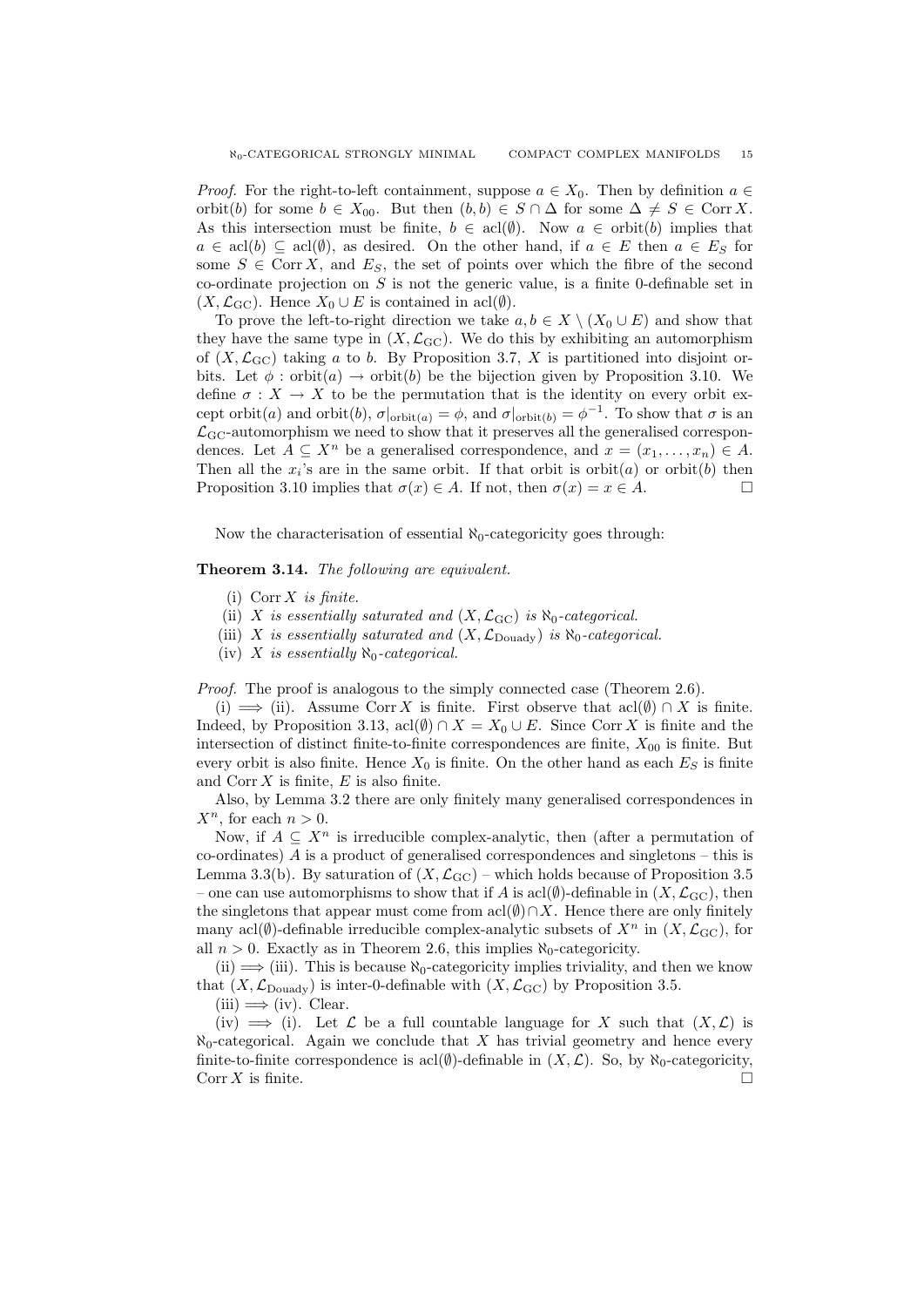*Proof.* For the right-to-left containment, suppose  $a \in X_0$ . Then by definition  $a \in$ orbit(b) for some  $b \in X_{00}$ . But then  $(b, b) \in S \cap \Delta$  for some  $\Delta \neq S \in \text{Corr } X$ . As this intersection must be finite,  $b \in \text{acl}(\emptyset)$ . Now  $a \in \text{orbit}(b)$  implies that  $a \in \text{acl}(b) \subseteq \text{acl}(\emptyset)$ , as desired. On the other hand, if  $a \in E$  then  $a \in E_S$  for some  $S \in \text{Corr } X$ , and  $E_S$ , the set of points over which the fibre of the second co-ordinate projection on  $S$  is not the generic value, is a finite 0-definable set in  $(X, \mathcal{L}_{\text{GC}})$ . Hence  $X_0 \cup E$  is contained in acl $(\emptyset)$ .

To prove the left-to-right direction we take  $a, b \in X \setminus (X_0 \cup E)$  and show that they have the same type in  $(X, \mathcal{L}_{\text{GC}})$ . We do this by exhibiting an automorphism of  $(X, \mathcal{L}_{\text{GC}})$  taking a to b. By Proposition 3.7, X is partitioned into disjoint orbits. Let  $\phi$ : orbit $(a) \rightarrow$  orbit $(b)$  be the bijection given by Proposition 3.10. We define  $\sigma: X \to X$  to be the permutation that is the identity on every orbit except orbit(*a*) and orbit(*b*),  $\sigma|_{\text{orbit}(a)} = \phi$ , and  $\sigma|_{\text{orbit}(b)} = \phi^{-1}$ . To show that  $\sigma$  is an  $\mathcal{L}_{\text{GC}}$ -automorphism we need to show that it preserves all the generalised correspondences. Let  $A \subseteq X^n$  be a generalised correspondence, and  $x = (x_1, \ldots, x_n) \in A$ . Then all the  $x_i$ 's are in the same orbit. If that orbit is orbit $(a)$  or orbit $(b)$  then Proposition 3.10 implies that  $\sigma(x) \in A$ . If not, then  $\sigma(x) = x \in A$ .

Now the characterisation of essential  $\aleph_0$ -categoricity goes through:

# Theorem 3.14. The following are equivalent.

- (i) Corr  $X$  is finite.
- (ii) X is essentially saturated and  $(X, \mathcal{L}_{\text{GC}})$  is  $\aleph_0$ -categorical.
- (iii) X is essentially saturated and  $(X, \mathcal{L}_{\text{Douady}})$  is  $\aleph_0$ -categorical.
- (iv) X is essentially  $\aleph_0$ -categorical.

Proof. The proof is analogous to the simply connected case (Theorem 2.6).

(i)  $\implies$  (ii). Assume Corr X is finite. First observe that acl $(\emptyset) \cap X$  is finite. Indeed, by Proposition 3.13, acl $(\emptyset) \cap X = X_0 \cup E$ . Since Corr X is finite and the intersection of distinct finite-to-finite correspondences are finite,  $X_{00}$  is finite. But every orbit is also finite. Hence  $X_0$  is finite. On the other hand as each  $E_S$  is finite and  $Corr X$  is finite,  $E$  is also finite.

Also, by Lemma 3.2 there are only finitely many generalised correspondences in  $X^n$ , for each  $n > 0$ .

Now, if  $A \subseteq X^n$  is irreducible complex-analytic, then (after a permutation of  $\alpha$ -ordinates)  $\Lambda$  is a product of generalised correspondences and singletons – this is Lemma 3.3(b). By saturation of  $(X, \mathcal{L}_{\text{GC}})$  – which holds because of Proposition 3.5 – one can use automorphisms to show that if A is  $\text{acl}(\emptyset)$ -definable in  $(X,\mathcal{L}_{\text{GC}})$ , then the singletons that appear must come from acl $(\emptyset) \cap X$ . Hence there are only finitely many acl $(\emptyset)$ -definable irreducible complex-analytic subsets of  $X^n$  in  $(X, \mathcal{L}_{\text{GC}})$ , for all  $n > 0$ . Exactly as in Theorem 2.6, this implies  $\aleph_0$ -categoricity.

(ii)  $\implies$  (iii). This is because  $\aleph_0$ -categoricity implies triviality, and then we know that  $(X, \mathcal{L}_{\text{Douady}})$  is inter-0-definable with  $(X, \mathcal{L}_{\text{GC}})$  by Proposition 3.5.

 $(iii) \Longrightarrow (iv)$ . Clear.

(iv)  $\implies$  (i). Let L be a full countable language for X such that  $(X, \mathcal{L})$  is  $\aleph_0$ -categorical. Again we conclude that X has trivial geometry and hence every finite-to-finite correspondence is acl( $\emptyset$ )-definable in  $(X, \mathcal{L})$ . So, by  $\aleph_0$ -categoricity, Corr X is finite.